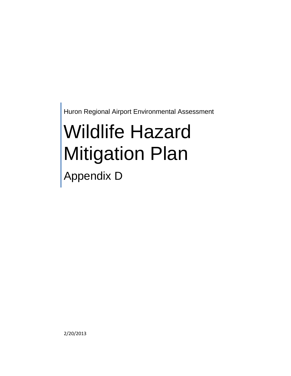Huron Regional Airport Environmental Assessment

# Wildlife Hazard Mitigation Plan

Appendix D

2/20/2013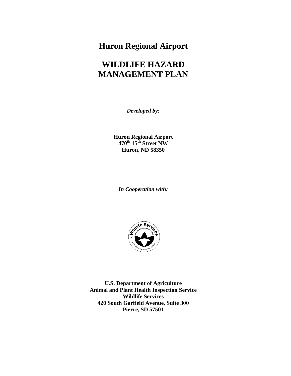### **Huron Regional Airport**

### **WILDLIFE HAZARD MANAGEMENT PLAN**

*Developed by:*

**Huron Regional Airport 470th 15th Street NW Huron, ND 58350**

*In Cooperation with:*



**U.S. Department of Agriculture Animal and Plant Health Inspection Service Wildlife Services 420 South Garfield Avenue, Suite 300 Pierre, SD 57501**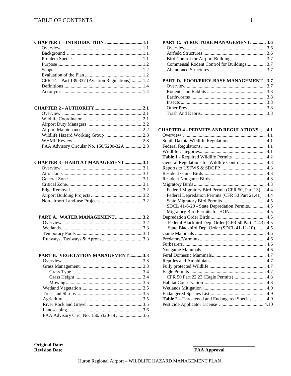| <b>CHAPTER 1 - INTRODUCTION 1.1</b>               |  |
|---------------------------------------------------|--|
|                                                   |  |
|                                                   |  |
|                                                   |  |
|                                                   |  |
|                                                   |  |
|                                                   |  |
| CFR 14 - Part 139.337 (Aviation Regulations)  1.2 |  |
|                                                   |  |
|                                                   |  |
|                                                   |  |

| FAA Advisory Circular No. 150/5200-32A2.3 |  |
|-------------------------------------------|--|
|                                           |  |

| CHAPTER 3 - HABITAT MANAGEMENT 3.1 |  |
|------------------------------------|--|
|                                    |  |
|                                    |  |
|                                    |  |
|                                    |  |
|                                    |  |
|                                    |  |
|                                    |  |
|                                    |  |

| PART A. WATER MANAGEMENT3.2 |  |
|-----------------------------|--|
|                             |  |
|                             |  |
|                             |  |
|                             |  |

| PART B. VEGETATION MANAGEMENT3.3       |  |
|----------------------------------------|--|
|                                        |  |
|                                        |  |
|                                        |  |
|                                        |  |
|                                        |  |
|                                        |  |
|                                        |  |
|                                        |  |
|                                        |  |
|                                        |  |
| FAA Advisory Circ. No. 150/5320-14 3.6 |  |

| PART C. STRUCTURE MANAGEMENT 3.6                     |  |
|------------------------------------------------------|--|
|                                                      |  |
|                                                      |  |
| Bird Control for Airport Buildings  3.7              |  |
| Commensal Rodent Control for Buildings 3.7           |  |
|                                                      |  |
|                                                      |  |
| PART D. FOOD/PREY-BASE MANAGEMENT. 3.7               |  |
|                                                      |  |
|                                                      |  |
|                                                      |  |
|                                                      |  |
|                                                      |  |
|                                                      |  |
|                                                      |  |
| <b>CHAPTER 4 - PERMITS AND REGULATIONS 4.1</b>       |  |
|                                                      |  |
| South Dakota Wildlife Regulations  4.1               |  |
|                                                      |  |
|                                                      |  |
| Table 1 - Required Wildlife Permits  4.2             |  |
| General Regulations for Wildlife Control  4.3        |  |
|                                                      |  |
|                                                      |  |
|                                                      |  |
|                                                      |  |
| Federal Migratory Bird Permit (CFR 50, Part 13)  4.4 |  |
| Federal Depredation Permits (CFR 50 Part 21.41)  4.4 |  |
|                                                      |  |
| SDCL 41-6-29 - State Depredation Permits 4.5         |  |
| Migratory Bird Permits for HON 4.5                   |  |
|                                                      |  |
| Federal Blackbird Dep. Order (CFR 50 Part 21.43) 4.5 |  |
| State Blackbird Dep. Order (SDCL 41-11-10) 4.5       |  |
|                                                      |  |
|                                                      |  |
|                                                      |  |
|                                                      |  |
|                                                      |  |
|                                                      |  |
|                                                      |  |
|                                                      |  |
| CFR 50 Part 22.23 (Eagle Permits) 4.8                |  |
|                                                      |  |
|                                                      |  |
|                                                      |  |
| Table 2 - Threatened and Endangered Species  4.9     |  |
|                                                      |  |
|                                                      |  |

 $FAA$  Approval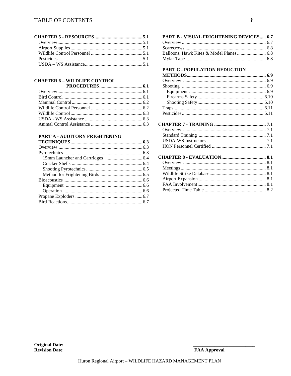#### **TABLE OF CONTENTS**

#### **CHAPTER 6 - WILDLIFE CONTROL**

#### PART A - AUDITORY FRIGHTENING

| <b>PART B - VISUAL FRIGHTENING DEVICES 6.7</b> |  |
|------------------------------------------------|--|
|                                                |  |
|                                                |  |
|                                                |  |
|                                                |  |

#### PART C - POPULATION REDUCTION

###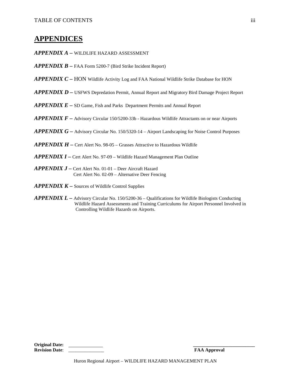### **APPENDICES**

- *APPENDIX A* **–** WILDLIFE HAZARD ASSESSMENT
- *APPENDIX B* **–** FAA Form 5200-7 (Bird Strike Incident Report)
- *APPENDIX C* **–** HON Wildlife Activity Log and FAA National Wildlife Strike Database for HON
- *APPENDIX D* **–** USFWS Depredation Permit, Annual Report and Migratory Bird Damage Project Report
- *APPENDIX E* **–** SD Game, Fish and Parks Department Permits and Annual Report
- *APPENDIX F* **–** Advisory Circular 150/5200-33b Hazardous Wildlife Attractants on or near Airports
- *APPENDIX G* **–** Advisory Circular No. 150/5320-14 Airport Landscaping for Noise Control Purposes
- *APPENDIX H* **–** Cert Alert No. 98-05 Grasses Attractive to Hazardous Wildlife
- *APPENDIX I* **–** Cert Alert No. 97-09 Wildlife Hazard Management Plan Outline
- *APPENDIX J* **–** Cert Alert No. 01-01 Deer Aircraft Hazard Cert Alert No. 02-09 – Alternative Deer Fencing
- *APPENDIX K* **–** Sources of Wildlife Control Supplies
- *APPENDIX L* **–** Advisory Circular No. 150/5200-36 Qualifications for Wildlife Biologists Conducting Wildlife Hazard Assessments and Training Curriculums for Airport Personnel Involved in Controlling Wildlife Hazards on Airports.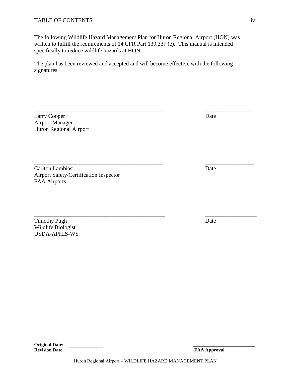The following Wildlife Hazard Management Plan for Huron Regional Airport (HON) was written to fulfill the requirements of 14 CFR Part 139.337 (e). This manual is intended specifically to reduce wildlife hazards at HON.

The plan has been reviewed and accepted and will become effective with the following signatures.

| Larry Cooper                           | Date |
|----------------------------------------|------|
| <b>Airport Manager</b>                 |      |
| Huron Regional Airport                 |      |
|                                        |      |
|                                        |      |
|                                        |      |
|                                        |      |
|                                        |      |
| Carlton Lambiasi                       | Date |
| Airport Safety/Certification Inspector |      |
| <b>FAA Airports</b>                    |      |
|                                        |      |
|                                        |      |

\_\_\_\_\_\_\_\_\_\_\_\_\_\_\_\_\_\_\_\_\_\_\_\_\_\_\_\_\_\_\_\_\_\_\_\_\_\_\_\_\_\_\_\_\_\_ \_\_\_\_\_\_\_\_\_\_\_\_\_\_\_\_\_\_

Timothy Pugh Date Wildlife Biologist USDA-APHIS-WS

**Original Date: \_\_\_\_\_\_\_\_\_\_\_\_\_\_\_\_\_\_\_\_\_\_\_\_\_\_ Revision Date:** 

| Huron Regional Airport – WILDLIFE HAZARD MANAGEMENT PLAN |  |  |
|----------------------------------------------------------|--|--|
|                                                          |  |  |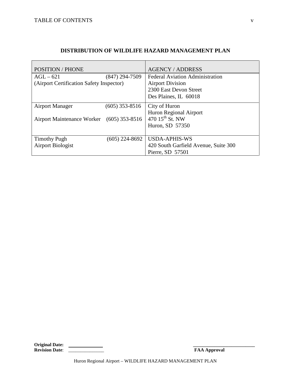.

|  |  | <b>DISTRIBUTION OF WILDLIFE HAZARD MANAGEMENT PLAN</b> |
|--|--|--------------------------------------------------------|
|--|--|--------------------------------------------------------|

| <b>POSITION / PHONE</b>                   |                  | <b>AGENCY / ADDRESS</b>                |
|-------------------------------------------|------------------|----------------------------------------|
| $AGL - 621$                               | (847) 294-7509   | <b>Federal Aviation Administration</b> |
| (Airport Certification Safety Inspector)  |                  | <b>Airport Division</b>                |
|                                           |                  | 2300 East Devon Street                 |
|                                           |                  | Des Plaines, IL 60018                  |
| <b>Airport Manager</b>                    | $(605)$ 353-8516 | City of Huron                          |
|                                           |                  | Huron Regional Airport                 |
| Airport Maintenance Worker (605) 353-8516 |                  | 470 15 <sup>th</sup> St. NW            |
|                                           |                  | Huron, SD 57350                        |
|                                           |                  |                                        |
| <b>Timothy Pugh</b>                       | $(605)$ 224-8692 | <b>USDA-APHIS-WS</b>                   |
| <b>Airport Biologist</b>                  |                  | 420 South Garfield Avenue, Suite 300   |
|                                           |                  | Pierre, SD 57501                       |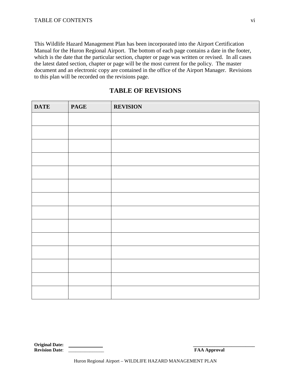This Wildlife Hazard Management Plan has been incorporated into the Airport Certification Manual for the Huron Regional Airport. The bottom of each page contains a date in the footer, which is the date that the particular section, chapter or page was written or revised. In all cases the latest dated section, chapter or page will be the most current for the policy. The master document and an electronic copy are contained in the office of the Airport Manager. Revisions to this plan will be recorded on the revisions page.

| <b>TABLE OF REVISIONS</b> |  |
|---------------------------|--|
|---------------------------|--|

| <b>DATE</b> | <b>PAGE</b> | <b>REVISION</b> |
|-------------|-------------|-----------------|
|             |             |                 |
|             |             |                 |
|             |             |                 |
|             |             |                 |
|             |             |                 |
|             |             |                 |
|             |             |                 |
|             |             |                 |
|             |             |                 |
|             |             |                 |
|             |             |                 |
|             |             |                 |
|             |             |                 |
|             |             |                 |

 $FAA$  Approval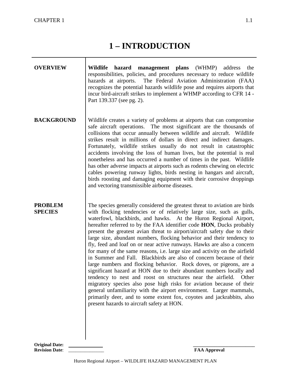| <b>OVERVIEW</b>                                | Wildlife hazard management plans<br>(WHMP)<br>address<br>the<br>responsibilities, policies, and procedures necessary to reduce wildlife<br>hazards at airports.<br>The Federal Aviation Administration (FAA)<br>recognizes the potential hazards wildlife pose and requires airports that<br>incur bird-aircraft strikes to implement a WHMP according to CFR 14 -<br>Part 139.337 (see pg. 2).                                                                                                                                                                                                                                                                                                                                                                                                                                                                                                                                                                                                                                                                                                                                                                                |
|------------------------------------------------|--------------------------------------------------------------------------------------------------------------------------------------------------------------------------------------------------------------------------------------------------------------------------------------------------------------------------------------------------------------------------------------------------------------------------------------------------------------------------------------------------------------------------------------------------------------------------------------------------------------------------------------------------------------------------------------------------------------------------------------------------------------------------------------------------------------------------------------------------------------------------------------------------------------------------------------------------------------------------------------------------------------------------------------------------------------------------------------------------------------------------------------------------------------------------------|
| <b>BACKGROUND</b>                              | Wildlife creates a variety of problems at airports that can compromise<br>safe aircraft operations. The most significant are the thousands of<br>collisions that occur annually between wildlife and aircraft. Wildlife<br>strikes result in millions of dollars in direct and indirect damages.<br>Fortunately, wildlife strikes usually do not result in catastrophic<br>accidents involving the loss of human lives, but the potential is real<br>nonetheless and has occurred a number of times in the past. Wildlife<br>has other adverse impacts at airports such as rodents chewing on electric<br>cables powering runway lights, birds nesting in hangars and aircraft,<br>birds roosting and damaging equipment with their corrosive droppings<br>and vectoring transmissible airborne diseases.                                                                                                                                                                                                                                                                                                                                                                      |
| <b>PROBLEM</b><br><b>SPECIES</b>               | The species generally considered the greatest threat to aviation are birds<br>with flocking tendencies or of relatively large size, such as gulls,<br>waterfowl, blackbirds, and hawks. At the Huron Regional Airport,<br>hereafter referred to by the FAA identifier code HON, Ducks probably<br>present the greatest avian threat to airport/aircraft safety due to their<br>large size, abundant numbers, flocking behavior and their tendency to<br>fly, feed and loaf on or near active runways. Hawks are also a concern<br>for many of the same reasons, i.e. large size and activity on the airfield<br>in Summer and Fall. Blackbirds are also of concern because of their<br>large numbers and flocking behavior. Rock doves, or pigeons, are a<br>significant hazard at HON due to their abundant numbers locally and<br>tendency to nest and roost on structures near the airfield.<br>Other<br>migratory species also pose high risks for aviation because of their<br>general unfamiliarity with the airport environment. Larger mammals,<br>primarily deer, and to some extent fox, coyotes and jackrabbits, also<br>present hazards to aircraft safety at HON. |
| <b>Original Date:</b><br><b>Revision Date:</b> | <b>FAA Approval</b>                                                                                                                                                                                                                                                                                                                                                                                                                                                                                                                                                                                                                                                                                                                                                                                                                                                                                                                                                                                                                                                                                                                                                            |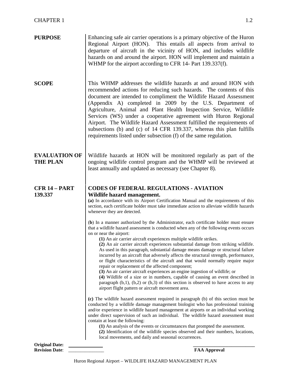| <b>PURPOSE</b>                                 | Enhancing safe air carrier operations is a primary objective of the Huron<br>Regional Airport (HON). This entails all aspects from arrival to<br>departure of aircraft in the vicinity of HON, and includes wildlife<br>hazards on and around the airport. HON will implement and maintain a<br>WHMP for the airport according to CFR 14- Part 139.337(f).                                                                                                                                                                                                                                                                                                                                                                                                                                                                                                                                                                                                                                                                                                                                                                                                                                                                                                                                                                                                                                                                                                                                                                                                                                                                                                                                                                                                                                                                                                                                                                                  |
|------------------------------------------------|---------------------------------------------------------------------------------------------------------------------------------------------------------------------------------------------------------------------------------------------------------------------------------------------------------------------------------------------------------------------------------------------------------------------------------------------------------------------------------------------------------------------------------------------------------------------------------------------------------------------------------------------------------------------------------------------------------------------------------------------------------------------------------------------------------------------------------------------------------------------------------------------------------------------------------------------------------------------------------------------------------------------------------------------------------------------------------------------------------------------------------------------------------------------------------------------------------------------------------------------------------------------------------------------------------------------------------------------------------------------------------------------------------------------------------------------------------------------------------------------------------------------------------------------------------------------------------------------------------------------------------------------------------------------------------------------------------------------------------------------------------------------------------------------------------------------------------------------------------------------------------------------------------------------------------------------|
| <b>SCOPE</b>                                   | This WHMP addresses the wildlife hazards at and around HON with<br>recommended actions for reducing such hazards. The contents of this<br>document are intended to compliment the Wildlife Hazard Assessment<br>(Appendix A) completed in 2009 by the U.S. Department of<br>Agriculture, Animal and Plant Health Inspection Service, Wildlife<br>Services (WS) under a cooperative agreement with Huron Regional<br>Airport. The Wildlife Hazard Assessment fulfilled the requirements of<br>subsections (b) and (c) of 14 CFR 139.337, whereas this plan fulfills<br>requirements listed under subsection (f) of the same regulation.                                                                                                                                                                                                                                                                                                                                                                                                                                                                                                                                                                                                                                                                                                                                                                                                                                                                                                                                                                                                                                                                                                                                                                                                                                                                                                      |
| <b>EVALUATION OF</b><br><b>THE PLAN</b>        | Wildlife hazards at HON will be monitored regularly as part of the<br>ongoing wildlife control program and the WHMP will be reviewed at<br>least annually and updated as necessary (see Chapter 8).                                                                                                                                                                                                                                                                                                                                                                                                                                                                                                                                                                                                                                                                                                                                                                                                                                                                                                                                                                                                                                                                                                                                                                                                                                                                                                                                                                                                                                                                                                                                                                                                                                                                                                                                         |
| <b>CFR 14 - PART</b><br>139.337                | <b>CODES OF FEDERAL REGULATIONS - AVIATION</b><br>Wildlife hazard management.<br>(a) In accordance with its Airport Certification Manual and the requirements of this<br>section, each certificate holder must take immediate action to alleviate wildlife hazards<br>whenever they are detected.<br>(b) In a manner authorized by the Administrator, each certificate holder must ensure<br>that a wildlife hazard assessment is conducted when any of the following events occurs<br>on or near the airport:<br>(1) An air carrier aircraft experiences multiple wildlife strikes.<br>(2) An air carrier aircraft experiences substantial damage from striking wildlife.<br>As used in this paragraph, substantial damage means damage or structural failure<br>incurred by an aircraft that adversely affects the structural strength, performance,<br>or flight characteristics of the aircraft and that would normally require major<br>repair or replacement of the affected component;<br>(3) An air carrier aircraft experiences an engine ingestion of wildlife; or<br>(4) Wildlife of a size or in numbers, capable of causing an event described in<br>paragraph $(b,1)$ , $(b,2)$ or $(b,3)$ of this section is observed to have access to any<br>airport flight pattern or aircraft movement area.<br>(c) The wildlife hazard assessment required in paragraph (b) of this section must be<br>conducted by a wildlife damage management biologist who has professional training<br>and/or experience in wildlife hazard management at airports or an individual working<br>under direct supervision of such an individual. The wildlife hazard assessment must<br>contain at least the following:<br>(1) An analysis of the events or circumstances that prompted the assessment.<br>(2) Identification of the wildlife species observed and their numbers, locations,<br>local movements, and daily and seasonal occurrences. |
| <b>Original Date:</b><br><b>Revision Date:</b> | <b>FAA Approval</b>                                                                                                                                                                                                                                                                                                                                                                                                                                                                                                                                                                                                                                                                                                                                                                                                                                                                                                                                                                                                                                                                                                                                                                                                                                                                                                                                                                                                                                                                                                                                                                                                                                                                                                                                                                                                                                                                                                                         |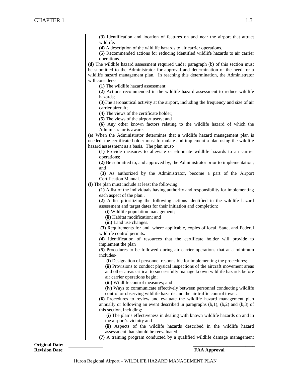**(3)** Identification and location of features on and near the airport that attract wildlife.

**(4)** A description of the wildlife hazards to air carrier operations.

**(5)** Recommended actions for reducing identified wildlife hazards to air carrier operations.

**(d)** The wildlife hazard assessment required under paragraph (b) of this section must be submitted to the Administrator for approval and determination of the need for a wildlife hazard management plan. In reaching this determination, the Administrator will considers-

**(1)** The wildlife hazard assessment;

**(2)** Actions recommended in the wildlife hazard assessment to reduce wildlife hazards;

**(3)**The aeronautical activity at the airport, including the frequency and size of air carrier aircraft;

**(4)** The views of the certificate holder;

**(5)** The views of the airport users; and

**(6)** Any other known factors relating to the wildlife hazard of which the Administrator is aware.

**(e)** When the Administrator determines that a wildlife hazard management plan is needed, the certificate holder must formulate and implement a plan using the wildlife hazard assessment as a basis. The plan must-

**(1)** Provide measures to alleviate or eliminate wildlife hazards to air carrier operations;

**(2)** Be submitted to, and approved by, the Administrator prior to implementation; and

**(3)** As authorized by the Administrator, become a part of the Airport Certification Manual.

**(f)** The plan must include at least the following:

**(1)** A list of the individuals having authority and responsibility for implementing each aspect of the plan..

**(2)** A list prioritizing the following actions identified in the wildlife hazard assessment and target dates for their initiation and completion:

**(i)** Wildlife population management;

**(ii)** Habitat modification; and

**(iii)** Land use changes.

**(3)** Requirements for and, where applicable, copies of local, State, and Federal wildlife control permits.

**(4)** Identification of resources that the certificate holder will provide to implement the plan

**(5)** Procedures to be followed during air carrier operations that at a minimum includes-

**(i)** Designation of personnel responsible for implementing the procedures;

**(ii)** Provisions to conduct physical inspections of the aircraft movement areas and other areas critical to successfully manage known wildlife hazards before air carrier operations begin;

**(iii)** Wildlife control measures; and

**(iv)** Ways to communicate effectively between personnel conducting wildlife control or observing wildlife hazards and the air traffic control tower.

**(6)** Procedures to review and evaluate the wildlife hazard management plan annually or following an event described in paragraphs  $(b,1)$ ,  $(b,2)$  and  $(b,3)$  of this section, including:

**(i)** The plan's effectiveness in dealing with known wildlife hazards on and in the airport's vicinity and

**(ii)** Aspects of the wildlife hazards described in the wildlife hazard assessment that should be reevaluated.

**(7)** A training program conducted by a qualified wildlife damage management

**Original Date: Revision Date**: \_\_\_\_\_\_\_\_\_\_\_\_\_\_\_ **FAA Approval**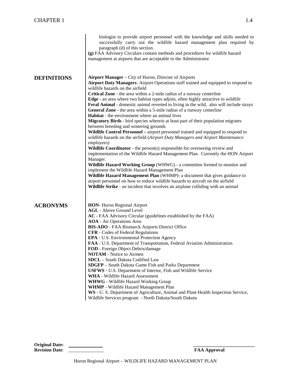|                    | biologist to provide airport personnel with the knowledge and skills needed to<br>successfully carry out the wildlife hazard management plan required by<br>paragraph (d) of this section.<br>(g) FAA Advisory Circulars contain methods and procedures for wildlife hazard<br>management at airports that are acceptable to the Administrator                                                                                                                                                                                                                                                                                                                                                                                                                                                                                                                                                                                                                                                                                                                                                                                                                                                                                                                                                                                                                                                                                                                          |
|--------------------|-------------------------------------------------------------------------------------------------------------------------------------------------------------------------------------------------------------------------------------------------------------------------------------------------------------------------------------------------------------------------------------------------------------------------------------------------------------------------------------------------------------------------------------------------------------------------------------------------------------------------------------------------------------------------------------------------------------------------------------------------------------------------------------------------------------------------------------------------------------------------------------------------------------------------------------------------------------------------------------------------------------------------------------------------------------------------------------------------------------------------------------------------------------------------------------------------------------------------------------------------------------------------------------------------------------------------------------------------------------------------------------------------------------------------------------------------------------------------|
| <b>DEFINITIONS</b> | <b>Airport Manager</b> – City of Huron, Director of Airports<br>Airport Duty Managers-Airport Operations staff trained and equipped to respond to<br>wildlife hazards on the airfield<br>Critical Zone - the area within a 2-mile radius of a runway centerline<br>Edge - an area where two habitat types adjoin, often highly attractive to wildlife<br>Feral Animal - domestic animal reverted to living in the wild, also will include strays<br>General Zone - the area within a 5-mile radius of a runway centerline<br><b>Habitat</b> - the environment where an animal lives<br>Migratory Birds - bird species wherein at least part of their population migrates<br>between breeding and wintering grounds<br>Wildlife Control Personnel – airport personnel trained and equipped to respond to<br>wildlife hazards on the airfield (Airport Duty Managers and Airport Maintenance<br>employees)<br>Wildlife Coordinator - the person(s) responsible for overseeing review and<br>implementation of the Wildlife Hazard Management Plan. Currently the HON Airport<br>Manager.<br>Wildlife Hazard Working Group (WHWG) - a committee formed to monitor and<br>implement the Wildlife Hazard Management Plan<br>Wildlife Hazard Management Plan (WHMP)- a document that gives guidance to<br>airport personnel on how to reduce wildlife hazards to aircraft on the airfield<br>Wildlife Strike - an incident that involves an airplane colliding with an animal |
| <b>ACRONYMS</b>    | <b>HON-</b> Huron Regional Airport<br><b>AGL</b> - Above Ground Level<br>AC - FAA Advisory Circular (guidelines established by the FAA)<br><b>AOA</b> - Air Operations Area<br><b>BIS-ADO</b> - FAA Bismarck Airports District Office<br><b>CFR</b> - Codes of Federal Regulations<br>EPA - U.S. Environmental Protection Agency<br>FAA - U.S. Department of Transportation, Federal Aviation Administration<br>FOD - Foreign Object Debris/damage<br><b>NOTAM</b> - Notice to Airmen<br><b>SDCL</b> - South Dakota Codified Law<br><b>SDGFP</b> – South Dakota Game Fish and Parks Department<br><b>USFWS</b> - U.S. Department of Interior, Fish and Wildlife Service<br><b>WHA</b> - Wildlife Hazard Assessment<br>WHWG - Wildlife Hazard Working Group<br>WHMP - Wildlife Hazard Management Plan<br>WS - U. S. Department of Agriculture, Animal and Plant Health Inspection Service,<br>Wildlife Services program - North Dakota/South Dakota                                                                                                                                                                                                                                                                                                                                                                                                                                                                                                                      |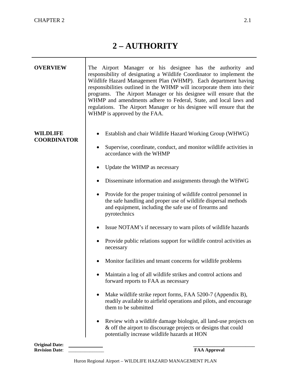### **2 – AUTHORITY**

| <b>OVERVIEW</b>                                | The Airport Manager or his designee has the authority and<br>responsibility of designating a Wildlife Coordinator to implement the<br>Wildlife Hazard Management Plan (WHMP). Each department having<br>responsibilities outlined in the WHMP will incorporate them into their<br>programs. The Airport Manager or his designee will ensure that the<br>WHMP and amendments adhere to Federal, State, and local laws and<br>regulations. The Airport Manager or his designee will ensure that the<br>WHMP is approved by the FAA.                                                                                                                                                                                                                                                                                                                                                                                                                                |
|------------------------------------------------|------------------------------------------------------------------------------------------------------------------------------------------------------------------------------------------------------------------------------------------------------------------------------------------------------------------------------------------------------------------------------------------------------------------------------------------------------------------------------------------------------------------------------------------------------------------------------------------------------------------------------------------------------------------------------------------------------------------------------------------------------------------------------------------------------------------------------------------------------------------------------------------------------------------------------------------------------------------|
| WILDLIFE<br><b>COORDINATOR</b>                 | Establish and chair Wildlife Hazard Working Group (WHWG)<br>Supervise, coordinate, conduct, and monitor wildlife activities in<br>accordance with the WHMP<br>Update the WHMP as necessary<br>Disseminate information and assignments through the WHWG<br>Provide for the proper training of wildlife control personnel in<br>the safe handling and proper use of wildlife dispersal methods<br>and equipment, including the safe use of firearms and<br>pyrotechnics<br>Issue NOTAM's if necessary to warn pilots of wildlife hazards<br>Provide public relations support for wildlife control activities as<br>necessary<br>Monitor facilities and tenant concerns for wildlife problems<br>Maintain a log of all wildlife strikes and control actions and<br>forward reports to FAA as necessary<br>Make wildlife strike report forms, FAA 5200-7 (Appendix B),<br>readily available to airfield operations and pilots, and encourage<br>them to be submitted |
| <b>Original Date:</b><br><b>Revision Date:</b> | Review with a wildlife damage biologist, all land-use projects on<br>& off the airport to discourage projects or designs that could<br>potentially increase wildlife hazards at HON<br><b>FAA Approval</b>                                                                                                                                                                                                                                                                                                                                                                                                                                                                                                                                                                                                                                                                                                                                                       |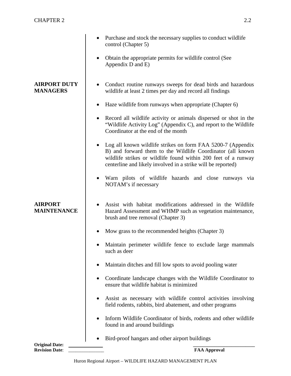|                                                | Purchase and stock the necessary supplies to conduct wildlife<br>control (Chapter 5)                                                                                                                                                                        |
|------------------------------------------------|-------------------------------------------------------------------------------------------------------------------------------------------------------------------------------------------------------------------------------------------------------------|
|                                                | Obtain the appropriate permits for wildlife control (See<br>Appendix D and E)                                                                                                                                                                               |
| <b>AIRPORT DUTY</b><br><b>MANAGERS</b>         | Conduct routine runways sweeps for dead birds and hazardous<br>wildlife at least 2 times per day and record all findings                                                                                                                                    |
|                                                | Haze wildlife from runways when appropriate (Chapter 6)                                                                                                                                                                                                     |
|                                                | Record all wildlife activity or animals dispersed or shot in the<br>"Wildlife Activity Log" (Appendix C), and report to the Wildlife<br>Coordinator at the end of the month                                                                                 |
|                                                | Log all known wildlife strikes on form FAA 5200-7 (Appendix<br>B) and forward them to the Wildlife Coordinator (all known<br>wildlife strikes or wildlife found within 200 feet of a runway<br>centerline and likely involved in a strike will be reported) |
|                                                | Warn pilots of wildlife hazards and close runways via<br>NOTAM's if necessary                                                                                                                                                                               |
| <b>AIRPORT</b><br><b>MAINTENANCE</b>           | Assist with habitat modifications addressed in the Wildlife<br>Hazard Assessment and WHMP such as vegetation maintenance,<br>brush and tree removal (Chapter 3)                                                                                             |
|                                                | Mow grass to the recommended heights (Chapter 3)                                                                                                                                                                                                            |
|                                                | Maintain perimeter wildlife fence to exclude large mammals<br>such as deer                                                                                                                                                                                  |
|                                                | Maintain ditches and fill low spots to avoid pooling water                                                                                                                                                                                                  |
|                                                | Coordinate landscape changes with the Wildlife Coordinator to<br>ensure that wildlife habitat is minimized                                                                                                                                                  |
|                                                | Assist as necessary with wildlife control activities involving<br>field rodents, rabbits, bird abatement, and other programs                                                                                                                                |
|                                                | Inform Wildlife Coordinator of birds, rodents and other wildlife<br>found in and around buildings                                                                                                                                                           |
|                                                | Bird-proof hangars and other airport buildings                                                                                                                                                                                                              |
| <b>Original Date:</b><br><b>Revision Date:</b> | <b>FAA Approval</b>                                                                                                                                                                                                                                         |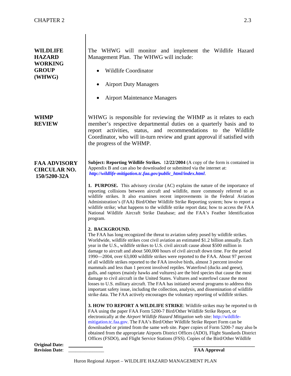$\overline{\phantom{a}}$ 

| <b>WILDLIFE</b><br><b>HAZARD</b><br><b>WORKING</b><br><b>GROUP</b><br>(WHWG)        | The WHWG will monitor and implement the Wildlife Hazard<br>Management Plan. The WHWG will include:<br><b>Wildlife Coordinator</b><br><b>Airport Duty Managers</b><br><b>Airport Maintenance Managers</b>                                                                                                                                                                                                                                                                                                                                                                                                                                                                                                                                                                                                                                                                                                                                                                                                                                                                                                                                                                                                                                                                                                                                                                                                                                                                                                                                                                                                                                                                                                                                                                                                                                                                                                                                                                                                                                                                                                                                                                                                                                                                                                                                                                                                                                                                                                                                    |  |
|-------------------------------------------------------------------------------------|---------------------------------------------------------------------------------------------------------------------------------------------------------------------------------------------------------------------------------------------------------------------------------------------------------------------------------------------------------------------------------------------------------------------------------------------------------------------------------------------------------------------------------------------------------------------------------------------------------------------------------------------------------------------------------------------------------------------------------------------------------------------------------------------------------------------------------------------------------------------------------------------------------------------------------------------------------------------------------------------------------------------------------------------------------------------------------------------------------------------------------------------------------------------------------------------------------------------------------------------------------------------------------------------------------------------------------------------------------------------------------------------------------------------------------------------------------------------------------------------------------------------------------------------------------------------------------------------------------------------------------------------------------------------------------------------------------------------------------------------------------------------------------------------------------------------------------------------------------------------------------------------------------------------------------------------------------------------------------------------------------------------------------------------------------------------------------------------------------------------------------------------------------------------------------------------------------------------------------------------------------------------------------------------------------------------------------------------------------------------------------------------------------------------------------------------------------------------------------------------------------------------------------------------|--|
| <b>WHMP</b><br><b>REVIEW</b>                                                        | WHWG is responsible for reviewing the WHMP as it relates to each<br>member's respective departmental duties on a quarterly basis and to<br>report activities, status, and recommendations to the Wildlife<br>Coordinator, who will in-turn review and grant approval if satisfied with<br>the progress of the WHMP.                                                                                                                                                                                                                                                                                                                                                                                                                                                                                                                                                                                                                                                                                                                                                                                                                                                                                                                                                                                                                                                                                                                                                                                                                                                                                                                                                                                                                                                                                                                                                                                                                                                                                                                                                                                                                                                                                                                                                                                                                                                                                                                                                                                                                         |  |
| <b>FAA ADVISORY</b><br><b>CIRCULAR NO.</b><br>150/5200-32A<br><b>Original Date:</b> | Subject: Reporting Wildlife Strikes. 12/22/2004 (A copy of the form is contained in<br>Appendix B and can also be downloaded or submitted via the internet at:<br>http://wildlife-mitigation.tc.faa.gov/public_html/index.html.<br><b>1. PURPOSE.</b> This advisory circular (AC) explains the nature of the importance of<br>reporting collisions between aircraft and wildlife, more commonly referred to as<br>wildlife strikes. It also examines recent improvements in the Federal Aviation<br>Administration's (FAA) Bird/Other Wildlife Strike Reporting system; how to report a<br>wildlife strike; what happens to the wildlife strike report data; how to access the FAA<br>National Wildlife Aircraft Strike Database; and the FAA's Feather Identification<br>program.<br>2. BACKGROUND.<br>The FAA has long recognized the threat to aviation safety posed by wildlife strikes.<br>Worldwide, wildlife strikes cost civil aviation an estimated \$1.2 billion annually. Each<br>year in the U.S., wildlife strikes to U.S. civil aircraft cause about \$500 million in<br>damage to aircraft and about 500,000 hours of civil aircraft down time. For the period<br>1990-2004, over 63,000 wildlife strikes were reported to the FAA. About 97 percent<br>of all wildlife strikes reported to the FAA involve birds, almost 3 percent involve<br>mammals and less than 1 percent involved reptiles. Waterfowl (ducks and geese),<br>gulls, and raptors (mainly hawks and vultures) are the bird species that cause the most<br>damage to civil aircraft in the United States. Vultures and waterfowl cause the most<br>losses to U.S. military aircraft. The FAA has initiated several programs to address this<br>important safety issue, including the collection, analysis, and dissemination of wildlife<br>strike data. The FAA actively encourages the voluntary reporting of wildlife strikes.<br><b>3. HOW TO REPORT A WILDLIFE STRIKE:</b> Wildlife strikes may be reported to the<br>FAA using the paper FAA Form 5200-7 Bird/Other Wildlife Strike Report, or<br>electronically at the Airport Wildlife Hazard Mitigation web site: http://wildlife-<br>mitigation.tc.faa.gov. The FAA's Bird/Other Wildlife Strike Report Form can be<br>downloaded or printed from the same web site. Paper copies of Form 5200-7 may also be<br>obtained from the appropriate Airports District Offices (ADO), Flight Standards District<br>Offices (FSDO), and Flight Service Stations (FSS). Copies of the Bird/Other Wildlife |  |
| <b>Revision Date:</b>                                                               | <b>FAA Approval</b>                                                                                                                                                                                                                                                                                                                                                                                                                                                                                                                                                                                                                                                                                                                                                                                                                                                                                                                                                                                                                                                                                                                                                                                                                                                                                                                                                                                                                                                                                                                                                                                                                                                                                                                                                                                                                                                                                                                                                                                                                                                                                                                                                                                                                                                                                                                                                                                                                                                                                                                         |  |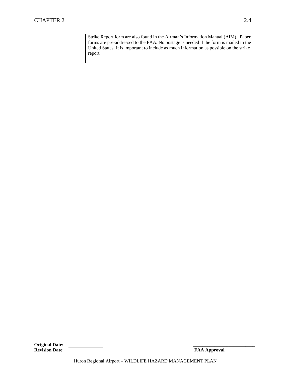Strike Report form are also found in the Airman's Information Manual (AIM). Paper forms are pre-addressed to the FAA. No postage is needed if the form is mailed in the United States. It is important to include as much information as possible on the strike report.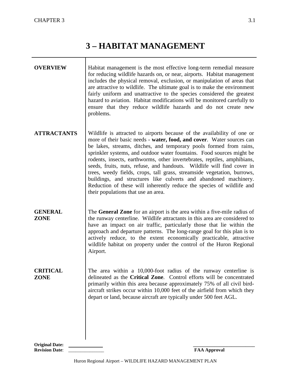T

### **3 – HABITAT MANAGEMENT**

| <b>OVERVIEW</b>               | Habitat management is the most effective long-term remedial measure<br>for reducing wildlife hazards on, or near, airports. Habitat management<br>includes the physical removal, exclusion, or manipulation of areas that<br>are attractive to wildlife. The ultimate goal is to make the environment<br>fairly uniform and unattractive to the species considered the greatest<br>hazard to aviation. Habitat modifications will be monitored carefully to<br>ensure that they reduce wildlife hazards and do not create new<br>problems.                                                                                                                                                                           |
|-------------------------------|----------------------------------------------------------------------------------------------------------------------------------------------------------------------------------------------------------------------------------------------------------------------------------------------------------------------------------------------------------------------------------------------------------------------------------------------------------------------------------------------------------------------------------------------------------------------------------------------------------------------------------------------------------------------------------------------------------------------|
| <b>ATTRACTANTS</b>            | Wildlife is attracted to airports because of the availability of one or<br>more of their basic needs - water, food, and cover. Water sources can<br>be lakes, streams, ditches, and temporary pools formed from rains,<br>sprinkler systems, and outdoor water fountains. Food sources might be<br>rodents, insects, earthworms, other invertebrates, reptiles, amphibians,<br>seeds, fruits, nuts, refuse, and handouts. Wildlife will find cover in<br>trees, weedy fields, crops, tall grass, streamside vegetation, burrows,<br>buildings, and structures like culverts and abandoned machinery.<br>Reduction of these will inherently reduce the species of wildlife and<br>their populations that use an area. |
| <b>GENERAL</b><br><b>ZONE</b> | The General Zone for an airport is the area within a five-mile radius of<br>the runway centerline. Wildlife attractants in this area are considered to<br>have an impact on air traffic, particularly those that lie within the<br>approach and departure patterns. The long-range goal for this plan is to<br>actively reduce, to the extent economically practicable, attractive<br>wildlife habitat on property under the control of the Huron Regional<br>Airport.                                                                                                                                                                                                                                               |
| CRITICAL<br><b>ZONE</b>       | The area within a 10,000-foot radius of the runway centerline is<br>delineated as the Critical Zone. Control efforts will be concentrated<br>primarily within this area because approximately 75% of all civil bird-<br>aircraft strikes occur within 10,000 feet of the airfield from which they<br>depart or land, because aircraft are typically under 500 feet AGL.                                                                                                                                                                                                                                                                                                                                              |
| <b>Original Date:</b>         |                                                                                                                                                                                                                                                                                                                                                                                                                                                                                                                                                                                                                                                                                                                      |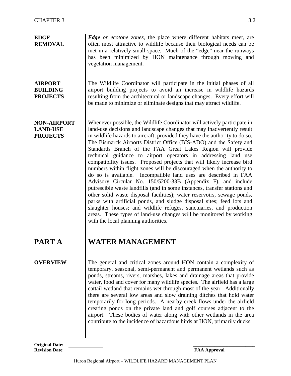| <b>EDGE</b><br><b>REMOVAL</b>                            | <b>Edge</b> or ecotone zones, the place where different habitats meet, are<br>often most attractive to wildlife because their biological needs can be<br>met in a relatively small space. Much of the "edge" near the runways<br>has been minimized by HON maintenance through mowing and<br>vegetation management.                                                                                                                                                                                                                                                                                                                                                                                                                                                                                                                                                                                                                                                                                                                                                                                                                                   |
|----------------------------------------------------------|-------------------------------------------------------------------------------------------------------------------------------------------------------------------------------------------------------------------------------------------------------------------------------------------------------------------------------------------------------------------------------------------------------------------------------------------------------------------------------------------------------------------------------------------------------------------------------------------------------------------------------------------------------------------------------------------------------------------------------------------------------------------------------------------------------------------------------------------------------------------------------------------------------------------------------------------------------------------------------------------------------------------------------------------------------------------------------------------------------------------------------------------------------|
| <b>AIRPORT</b><br><b>BUILDING</b><br><b>PROJECTS</b>     | The Wildlife Coordinator will participate in the initial phases of all<br>airport building projects to avoid an increase in wildlife hazards<br>resulting from the architectural or landscape changes. Every effort will<br>be made to minimize or eliminate designs that may attract wildlife.                                                                                                                                                                                                                                                                                                                                                                                                                                                                                                                                                                                                                                                                                                                                                                                                                                                       |
| <b>NON-AIRPORT</b><br><b>LAND-USE</b><br><b>PROJECTS</b> | Whenever possible, the Wildlife Coordinator will actively participate in<br>land-use decisions and landscape changes that may inadvertently result<br>in wildlife hazards to aircraft, provided they have the authority to do so.<br>The Bismarck Airports District Office (BIS-ADO) and the Safety and<br>Standards Branch of the FAA Great Lakes Region will provide<br>technical guidance to airport operators in addressing land use<br>compatibility issues. Proposed projects that will likely increase bird<br>numbers within flight zones will be discouraged when the authority to<br>do so is available. Incompatible land uses are described in FAA<br>Advisory Circular No. 150/5200-33B (Appendix F), and include<br>putrescible waste landfills (and in some instances, transfer stations and<br>other solid waste disposal facilities); water reservoirs, sewage ponds,<br>parks with artificial ponds, and sludge disposal sites; feed lots and<br>slaughter houses; and wildlife refuges, sanctuaries, and production<br>areas. These types of land-use changes will be monitored by working<br>with the local planning authorities. |
| PART A                                                   | WATER MANAGEMEN                                                                                                                                                                                                                                                                                                                                                                                                                                                                                                                                                                                                                                                                                                                                                                                                                                                                                                                                                                                                                                                                                                                                       |
| <b>OVERVIEW</b>                                          | The general and critical zones around HON contain a complexity of<br>temporary, seasonal, semi-permanent and permanent wetlands such as<br>ponds, streams, rivers, marshes, lakes and drainage areas that provide<br>water, food and cover for many wildlife species. The airfield has a large<br>cattail wetland that remains wet through most of the year. Additionally<br>there are several low areas and slow draining ditches that hold water<br>temporarily for long periods. A nearby creek flows under the airfield<br>creating ponds on the private land and golf courses adjacent to the<br>airport. These bodies of water along with other wetlands in the area                                                                                                                                                                                                                                                                                                                                                                                                                                                                            |

contribute to the incidence of hazardous birds at HON, primarily ducks.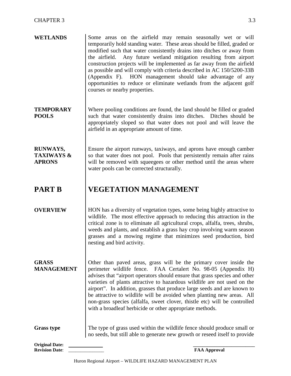| <b>WETLANDS</b>                                           | Some areas on the airfield may remain seasonally wet or will<br>temporarily hold standing water. These areas should be filled, graded or<br>modified such that water consistently drains into ditches or away from<br>Any future wetland mitigation resulting from airport<br>the airfield.<br>construction projects will be implemented as far away from the airfield<br>as possible and will comply with criteria described in AC 150/5200-33B<br>(Appendix F). HON management should take advantage of any<br>opportunities to reduce or eliminate wetlands from the adjacent golf<br>courses or nearby properties. |
|-----------------------------------------------------------|------------------------------------------------------------------------------------------------------------------------------------------------------------------------------------------------------------------------------------------------------------------------------------------------------------------------------------------------------------------------------------------------------------------------------------------------------------------------------------------------------------------------------------------------------------------------------------------------------------------------|
| <b>TEMPORARY</b><br><b>POOLS</b>                          | Where pooling conditions are found, the land should be filled or graded<br>such that water consistently drains into ditches. Ditches should be<br>appropriately sloped so that water does not pool and will leave the<br>airfield in an appropriate amount of time.                                                                                                                                                                                                                                                                                                                                                    |
| <b>RUNWAYS,</b><br><b>TAXIWAYS &amp;</b><br><b>APRONS</b> | Ensure the airport runways, taxiways, and aprons have enough camber<br>so that water does not pool. Pools that persistently remain after rains<br>will be removed with squeegees or other method until the areas where<br>water pools can be corrected structurally.                                                                                                                                                                                                                                                                                                                                                   |
| <b>PART B</b>                                             | <b>VEGETATION MANAGEMENT</b>                                                                                                                                                                                                                                                                                                                                                                                                                                                                                                                                                                                           |
| <b>OVERVIEW</b>                                           | HON has a diversity of vegetation types, some being highly attractive to<br>wildlife. The most effective approach to reducing this attraction in the<br>critical zone is to eliminate all agricultural crops, alfalfa, trees, shrubs,<br>weeds and plants, and establish a grass hay crop involving warm season<br>grasses and a mowing regime that minimizes seed production, bird<br>nesting and bird activity.                                                                                                                                                                                                      |
| <b>GRASS</b><br><b>MANAGEMENT</b>                         | Other than paved areas, grass will be the primary cover inside the<br>perimeter wildlife fence. FAA Certalert No. 98-05 (Appendix H)<br>advises that "airport operators should ensure that grass species and other<br>varieties of plants attractive to hazardous wildlife are not used on the<br>airport". In addition, grasses that produce large seeds and are known to<br>be attractive to wildlife will be avoided when planting new areas. All<br>non-grass species (alfalfa, sweet clover, thistle etc) will be controlled<br>with a broadleaf herbicide or other appropriate methods.                          |
| <b>Grass type</b>                                         | The type of grass used within the wildlife fence should produce small or<br>no seeds, but still able to generate new growth or reseed itself to provide                                                                                                                                                                                                                                                                                                                                                                                                                                                                |
| <b>Original Date:</b><br><b>Revision Date:</b>            | <b>FAA Approval</b>                                                                                                                                                                                                                                                                                                                                                                                                                                                                                                                                                                                                    |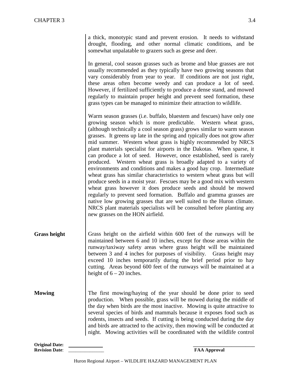In general, cool season grasses such as brome and blue grasses are not usually recommended as they typically have two growing seasons that vary considerably from year to year. If conditions are not just right, these areas often become weedy and can produce a lot of seed. However, if fertilized sufficiently to produce a dense stand, and mowed regularly to maintain proper height and prevent seed formation, these grass types can be managed to minimize their attraction to wildlife.

Warm season grasses (i.e. buffalo, bluestem and fescues) have only one growing season which is more predictable. Western wheat grass, (although technically a cool season grass) grows similar to warm season grasses. It greens up late in the spring and typically does not grow after mid summer. Western wheat grass is highly recommended by NRCS plant materials specialist for airports in the Dakotas. When sparse, it can produce a lot of seed. However, once established, seed is rarely produced. Western wheat grass is broadly adapted to a variety of environments and conditions and makes a good hay crop. Intermediate wheat grass has similar characteristics to western wheat grass but will produce seeds in a moist year. Fescues may be a good mix with western wheat grass however it does produce seeds and should be mowed regularly to prevent seed formation. Buffalo and gramma grasses are native low growing grasses that are well suited to the Huron climate. NRCS plant materials specialists will be consulted before planting any new grasses on the HON airfield.

**Grass height** Grass height on the airfield within 600 feet of the runways will be maintained between 6 and 10 inches, except for those areas within the runway/taxiway safety areas where grass height will be maintained between 3 and 4 inches for purposes of visibility. Grass height may exceed 10 inches temporarily during the brief period prior to hay cutting. Areas beyond 600 feet of the runways will be maintained at a height of  $6 - 20$  inches.

### **Mowing The first mowing/haying of the year should be done prior to seed** production. When possible, grass will be mowed during the middle of the day when birds are the most inactive. Mowing is quite attractive to several species of birds and mammals because it exposes food such as rodents, insects and seeds. If cutting is being conducted during the day and birds are attracted to the activity, then mowing will be conducted at night. Mowing activities will be coordinated with the wildlife control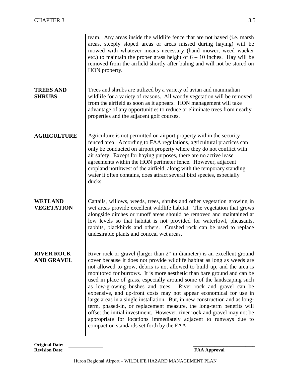|                                        | team. Any areas inside the wildlife fence that are not hayed (i.e. marsh<br>areas, steeply sloped areas or areas missed during haying) will be<br>mowed with whatever means necessary (hand mower, weed wacker<br>etc.) to maintain the proper grass height of $6 - 10$ inches. Hay will be<br>removed from the airfield shortly after baling and will not be stored on<br>HON property.                                                                                                                                                                                                                                                                                                                                                                                                                                                                                        |
|----------------------------------------|---------------------------------------------------------------------------------------------------------------------------------------------------------------------------------------------------------------------------------------------------------------------------------------------------------------------------------------------------------------------------------------------------------------------------------------------------------------------------------------------------------------------------------------------------------------------------------------------------------------------------------------------------------------------------------------------------------------------------------------------------------------------------------------------------------------------------------------------------------------------------------|
| <b>TREES AND</b><br><b>SHRUBS</b>      | Trees and shrubs are utilized by a variety of avian and mammalian<br>wildlife for a variety of reasons. All woody vegetation will be removed<br>from the airfield as soon as it appears. HON management will take<br>advantage of any opportunities to reduce or eliminate trees from nearby<br>properties and the adjacent golf courses.                                                                                                                                                                                                                                                                                                                                                                                                                                                                                                                                       |
| <b>AGRICULTURE</b>                     | Agriculture is not permitted on airport property within the security<br>fenced area. According to FAA regulations, agricultural practices can<br>only be conducted on airport property where they do not conflict with<br>air safety. Except for haying purposes, there are no active lease<br>agreements within the HON perimeter fence. However, adjacent<br>cropland northwest of the airfield, along with the temporary standing<br>water it often contains, does attract several bird species, especially<br>ducks.                                                                                                                                                                                                                                                                                                                                                        |
| WETLAND<br><b>VEGETATION</b>           | Cattails, willows, weeds, trees, shrubs and other vegetation growing in<br>wet areas provide excellent wildlife habitat. The vegetation that grows<br>alongside ditches or runoff areas should be removed and maintained at<br>low levels so that habitat is not provided for waterfowl, pheasants,<br>rabbits, blackbirds and others. Crushed rock can be used to replace<br>undesirable plants and conceal wet areas.                                                                                                                                                                                                                                                                                                                                                                                                                                                         |
| <b>RIVER ROCK</b><br><b>AND GRAVEL</b> | River rock or gravel (larger than 2" in diameter) is an excellent ground<br>cover because it does not provide wildlife habitat as long as weeds are<br>not allowed to grow, debris is not allowed to build up, and the area is<br>monitored for burrows. It is more aesthetic than bare ground and can be<br>used in place of grass, especially around some of the landscaping such<br>as low-growing bushes and trees. River rock and gravel can be<br>expensive, and up-front costs may not appear economical for use in<br>large areas in a single installation. But, in new construction and as long-<br>term, phased-in, or replacement measure, the long-term benefits will<br>offset the initial investment. However, river rock and gravel may not be<br>appropriate for locations immediately adjacent to runways due to<br>compaction standards set forth by the FAA. |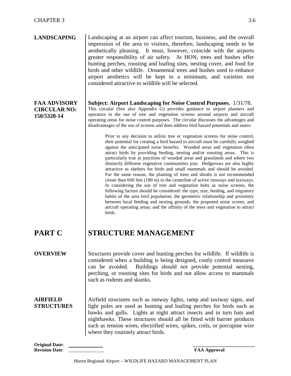| <b>LANDSCAPING</b>                                        | Landscaping at an airport can affect tourism, business, and the overall<br>impression of the area to visitors, therefore, landscaping needs to be<br>aesthetically pleasing. It must, however, coincide with the airports<br>greater responsibility of air safety. At HON, trees and bushes offer<br>hunting perches, roosting and loafing sites, nesting cover, and food for<br>birds and other wildlife. Ornamental trees and bushes used to enhance<br>airport aesthetics will be kept to a minimum, and varieties not<br>considered attractive to wildlife will be selected.                                                                                                                                                                                                                                                                                                                                                                                                            |
|-----------------------------------------------------------|---------------------------------------------------------------------------------------------------------------------------------------------------------------------------------------------------------------------------------------------------------------------------------------------------------------------------------------------------------------------------------------------------------------------------------------------------------------------------------------------------------------------------------------------------------------------------------------------------------------------------------------------------------------------------------------------------------------------------------------------------------------------------------------------------------------------------------------------------------------------------------------------------------------------------------------------------------------------------------------------|
| <b>FAA ADVISORY</b><br><b>CIRCULAR NO:</b><br>150/5320-14 | <b>Subject: Airport Landscaping for Noise Control Purposes.</b> 1/31/78.<br>This circular (See also Appendix G) provides guidance to airport planners and<br>operators in the use of tree and vegetation screens around airports and aircraft<br>operating areas for noise control purposes. The circular discusses the advantages and<br>disadvantages of the use of screens and does address bird hazard potentials and states:<br>Prior to any decision to utilize tree or vegetation screens for noise control,<br>their potential for creating a bird hazard to aircraft must be carefully weighed                                                                                                                                                                                                                                                                                                                                                                                     |
|                                                           | against the anticipated noise benefits. Wooded areas and vegetation often<br>attract birds by providing feeding, nesting and/or roosting areas. This is<br>particularly true at junctions of wooded areas and grasslands and where two<br>distinctly different vegetative communities join. Hedgerows are also highly<br>attractive as shelters for birds and small mammals and should be avoided.<br>For the same reason, the planting of trees and shrubs is not recommended<br>closer than 600 feet (180 m) to the centerline of active runways and taxiways.<br>In considering the use of tree and vegetation belts as noise screens, the<br>following factors should be considered: the type, size, feeding, and migratory<br>habits of the area bird population; the geometric relationship and proximity<br>between local feeding and nesting grounds, the proposed noise screen, and<br>aircraft operating areas; and the affinity of the trees and vegetation to attract<br>birds. |
| <b>PART C</b>                                             | <b>STRUCTURE MANAGEMENT</b>                                                                                                                                                                                                                                                                                                                                                                                                                                                                                                                                                                                                                                                                                                                                                                                                                                                                                                                                                                 |
| <b>OVERVIEW</b>                                           | Structures provide cover and hunting perches for wildlife. If wildlife is<br>considered when a building is being designed, costly control measures<br>can be avoided.<br>Buildings should not provide potential nesting,<br>perching, or roosting sites for birds and not allow access to mammals<br>such as rodents and skunks.                                                                                                                                                                                                                                                                                                                                                                                                                                                                                                                                                                                                                                                            |
| <b>AIRFIELD</b><br><b>STRUCTURES</b>                      | Airfield structures such as runway lights, ramp and taxiway signs, and<br>light poles are used as hunting and loafing perches for birds such as<br>hawks and gulls. Lights at night attract insects and in turn bats and<br>nighthawks. These structures should all be fitted with barrier products<br>such as tension wires, electrified wires, spikes, coils, or porcupine wire<br>where they routinely attract birds.                                                                                                                                                                                                                                                                                                                                                                                                                                                                                                                                                                    |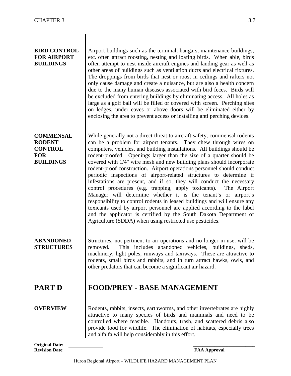### **BIRD CONTROL FOR AIRPORT BUILDINGS**

Airport buildings such as the terminal, hangars, maintenance buildings, etc. often attract roosting, nesting and loafing birds. When able, birds often attempt to nest inside aircraft engines and landing gear as well as other areas of buildings such as ventilation ducts and electrical fixtures. The droppings from birds that nest or roost in ceilings and rafters not only cause damage and create a nuisance, but are also a health concern due to the many human diseases associated with bird feces. Birds will be excluded from entering buildings by eliminating access. All holes as large as a golf ball will be filled or covered with screen. Perching sites on ledges, under eaves or above doors will be eliminated either by enclosing the area to prevent access or installing anti perching devices.

#### **COMMENSAL RODENT CONTROL FOR BUILDINGS**

While generally not a direct threat to aircraft safety, commensal rodents can be a problem for airport tenants. They chew through wires on computers, vehicles, and building installations. All buildings should be rodent-proofed. Openings larger than the size of a quarter should be covered with 1/4" wire mesh and new building plans should incorporate rodent-proof construction. Airport operations personnel should conduct periodic inspections of airport-related structures to determine if infestations are present, and if so, they will conduct the necessary control procedures (e.g. trapping, apply toxicants). The Airport Manager will determine whether it is the tenant's or airport's responsibility to control rodents in leased buildings and will ensure any toxicants used by airport personnel are applied according to the label and the applicator is certified by the South Dakota Department of Agriculture (SDDA) when using restricted use pesticides.

**ABANDONED STRUCTURES** Structures, not pertinent to air operations and no longer in use, will be removed. This includes abandoned vehicles, buildings, sheds, machinery, light poles, runways and taxiways. These are attractive to rodents, small birds and rabbits, and in turn attract hawks, owls, and other predators that can become a significant air hazard.

### **PART D FOOD/PREY - BASE MANAGEMENT**

**OVERVIEW** Rodents, rabbits, insects, earthworms, and other invertebrates are highly attractive to many species of birds and mammals and need to be controlled where feasible. Handouts, trash, and scattered debris also provide food for wildlife. The elimination of habitats, especially trees and alfalfa will help considerably in this effort.

**Original Date: Revision Date**: \_\_\_\_\_\_\_\_\_\_\_\_\_\_\_ **FAA Approval**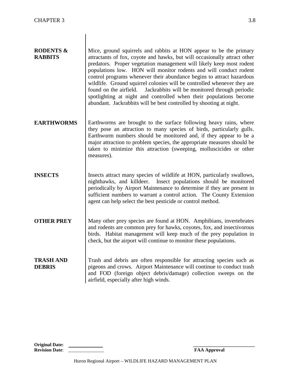I

| <b>RODENTS &amp;</b><br><b>RABBITS</b> | Mice, ground squirrels and rabbits at HON appear to be the primary<br>attractants of fox, coyote and hawks, but will occasionally attract other<br>predators. Proper vegetation management will likely keep most rodent<br>populations low. HON will monitor rodents and will conduct rodent<br>control programs whenever their abundance begins to attract hazardous<br>wildlife. Ground squirrel colonies will be controlled whenever they are<br>found on the airfield.<br>Jackrabbits will be monitored through periodic<br>spotlighting at night and controlled when their populations become<br>abundant. Jackrabbits will be best controlled by shooting at night. |
|----------------------------------------|---------------------------------------------------------------------------------------------------------------------------------------------------------------------------------------------------------------------------------------------------------------------------------------------------------------------------------------------------------------------------------------------------------------------------------------------------------------------------------------------------------------------------------------------------------------------------------------------------------------------------------------------------------------------------|
| <b>EARTHWORMS</b>                      | Earthworms are brought to the surface following heavy rains, where<br>they pose an attraction to many species of birds, particularly gulls.<br>Earthworm numbers should be monitored and, if they appear to be a<br>major attraction to problem species, the appropriate measures should be<br>taken to minimize this attraction (sweeping, molluscicides or other<br>measures).                                                                                                                                                                                                                                                                                          |
| <b>INSECTS</b>                         | Insects attract many species of wildlife at HON, particularly swallows,<br>nighthawks, and killdeer. Insect populations should be monitored<br>periodically by Airport Maintenance to determine if they are present in<br>sufficient numbers to warrant a control action. The County Extension<br>agent can help select the best pesticide or control method.                                                                                                                                                                                                                                                                                                             |
| <b>OTHER PREY</b>                      | Many other prey species are found at HON. Amphibians, invertebrates<br>and rodents are common prey for hawks, coyotes, fox, and insectivorous<br>birds. Habitat management will keep much of the prey population in<br>check, but the airport will continue to monitor these populations.                                                                                                                                                                                                                                                                                                                                                                                 |
| <b>TRASH AND</b><br><b>DEBRIS</b>      | Trash and debris are often responsible for attracting species such as<br>pigeons and crows. Airport Maintenance will continue to conduct trash<br>and FOD (foreign object debris/damage) collection sweeps on the<br>airfield, especially after high winds.                                                                                                                                                                                                                                                                                                                                                                                                               |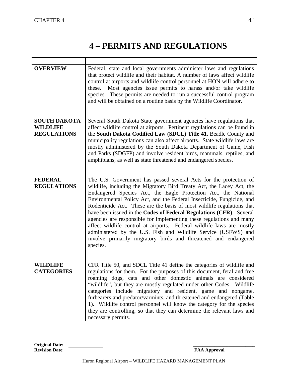T

### **4 – PERMITS AND REGULATIONS**

| <b>OVERVIEW</b>                                              | Federal, state and local governments administer laws and regulations<br>that protect wildlife and their habitat. A number of laws affect wildlife<br>control at airports and wildlife control personnel at HON will adhere to<br>these. Most agencies issue permits to harass and/or take wildlife<br>species. These permits are needed to run a successful control program<br>and will be obtained on a routine basis by the Wildlife Coordinator.                                                                                                                                                                                                                                                                                      |
|--------------------------------------------------------------|------------------------------------------------------------------------------------------------------------------------------------------------------------------------------------------------------------------------------------------------------------------------------------------------------------------------------------------------------------------------------------------------------------------------------------------------------------------------------------------------------------------------------------------------------------------------------------------------------------------------------------------------------------------------------------------------------------------------------------------|
| <b>SOUTH DAKOTA</b><br><b>WILDLIFE</b><br><b>REGULATIONS</b> | Several South Dakota State government agencies have regulations that<br>affect wildlife control at airports. Pertinent regulations can be found in<br>the South Dakota Codified Law (SDCL) Title 41. Beadle County and<br>municipality regulations can also affect airports. State wildlife laws are<br>mostly administered by the South Dakota Department of Game, Fish<br>and Parks (SDGFP) and involve resident birds, mammals, reptiles, and<br>amphibians, as well as state threatened and endangered species.                                                                                                                                                                                                                      |
| <b>FEDERAL</b><br><b>REGULATIONS</b>                         | The U.S. Government has passed several Acts for the protection of<br>wildlife, including the Migratory Bird Treaty Act, the Lacey Act, the<br>Endangered Species Act, the Eagle Protection Act, the National<br>Environmental Policy Act, and the Federal Insecticide, Fungicide, and<br>Rodenticide Act. These are the basis of most wildlife regulations that<br>have been issued in the Codes of Federal Regulations (CFR). Several<br>agencies are responsible for implementing these regulations and many<br>affect wildlife control at airports. Federal wildlife laws are mostly<br>administered by the U.S. Fish and Wildlife Service (USFWS) and<br>involve primarily migratory birds and threatened and endangered<br>species. |
| WILDLIFE<br><b>CATEGORIES</b>                                | CFR Title 50, and SDCL Title 41 define the categories of wildlife and<br>regulations for them. For the purposes of this document, feral and free<br>roaming dogs, cats and other domestic animals are considered<br>"wildlife", but they are mostly regulated under other Codes. Wildlife<br>categories include migratory and resident, game and nongame,<br>furbearers and predator/varmints, and threatened and endangered (Table<br>1). Wildlife control personnel will know the category for the species<br>they are controlling, so that they can determine the relevant laws and<br>necessary permits.                                                                                                                             |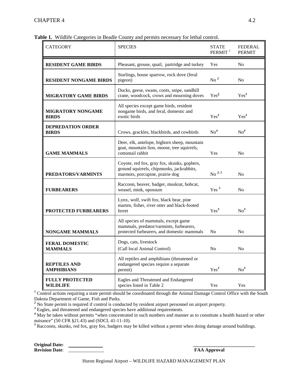| <b>CATEGORY</b>                           | <b>SPECIES</b>                                                                                                               | <b>STATE</b><br>PERMIT $1$ | <b>FEDERAL</b><br><b>PERMIT</b> |
|-------------------------------------------|------------------------------------------------------------------------------------------------------------------------------|----------------------------|---------------------------------|
| <b>RESIDENT GAME BIRDS</b>                | Pheasant, grouse, quail, partridge and turkey                                                                                | Yes                        | N <sub>0</sub>                  |
| <b>RESIDENT NONGAME BIRDS</b>             | Starlings, house sparrow, rock dove (feral<br>pigeon)                                                                        | $\mathrm{No}$ <sup>2</sup> | N <sub>o</sub>                  |
| <b>MIGRATORY GAME BIRDS</b>               | Ducks, geese, swans, coots, snipe, sandhill<br>crane, woodcock, crows and mourning doves                                     | Yes <sup>3</sup>           | Yes <sup>3</sup>                |
| <b>MIGRATORY NONGAME</b><br><b>BIRDS</b>  | All species except game birds, resident<br>nongame birds, and feral, domestic and<br>exotic birds                            | Yes <sup>3</sup>           | Yes <sup>3</sup>                |
| <b>DEPREDATION ORDER</b><br><b>BIRDS</b>  | Crows, grackles, blackbirds, and cowbirds                                                                                    | No <sup>4</sup>            | No <sup>4</sup>                 |
| <b>GAME MAMMALS</b>                       | Deer, elk, antelope, bighorn sheep, mountain<br>goat, mountain lion, moose, tree squirrels,<br>cottontail rabbit             | Yes                        | No                              |
| PREDATORS/VARMINTS                        | Coyote, red fox, gray fox, skunks, gophers,<br>ground squirrels, chipmunks, jackrabbits,<br>marmots, porcupine, prairie dog  | No $^{2, 5}$               | No                              |
| <b>FURBEARERS</b>                         | Raccoon, beaver, badger, muskrat, bobcat,<br>weasel, mink, opossum                                                           | Yes <sup>5</sup>           | No                              |
| PROTECTED FURBEARERS                      | Lynx, wolf, swift fox, black bear, pine<br>marten, fisher, river otter and black-footed<br>ferret                            | Yes <sup>3</sup>           | No <sup>3</sup>                 |
| <b>NONGAME MAMMALS</b>                    | All species of mammals, except game<br>mammals, predator/varmints, furbearers,<br>protected furbearers, and domestic mammals | N <sub>o</sub>             | No                              |
| <b>FERAL DOMESTIC</b><br><b>MAMMALS</b>   | Dogs, cats, livestock<br>(Call local Animal Control)                                                                         | N <sub>0</sub>             | No                              |
| <b>REPTILES AND</b><br><b>AMPHIBIANS</b>  | All reptiles and amphibians (threatened or<br>endangered species require a separate<br>permit)                               | Yes <sup>3</sup>           | No <sup>3</sup>                 |
| <b>FULLY PROTECTED</b><br><b>WILDLIFE</b> | Eagles and Threatened and Endangered<br>species listed in Table 2                                                            | Yes                        | Yes                             |

**Table 1.** Wildlife Categories in Beadle County and permits necessary for lethal control.

<sup>1</sup> Control actions requiring a state permit should be coordinated through the Animal Damage Control Office with the South Dakota Department of Game, Fish and Parks.

<sup>2</sup> No State permit is required if control is conducted by resident airport personnel on airport property.<br><sup>3</sup> Eagles, and threatened and endangered species have additional requirements.

<sup>4</sup> May be taken without permits "when concentrated in such numbers and manner as to constitute a health hazard or other nuisance" (50 CFR §21.43) and (SDCL 41-11-10).

<sup>5</sup> Raccoons, skunks, red fox, gray fox, badgers may be killed without a permit when doing damage around buildings.

**Original Date:<br>Revision Date:** 

 $FAA$  Approval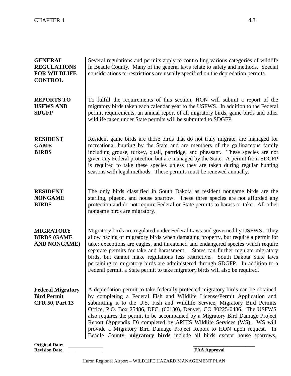| <b>GENERAL</b><br><b>REGULATIONS</b><br><b>FOR WILDLIFE</b><br><b>CONTROL</b> | Several regulations and permits apply to controlling various categories of wildlife<br>in Beadle County. Many of the general laws relate to safety and methods. Special<br>considerations or restrictions are usually specified on the depredation permits.                                                                                                                                                                                                                                                                                                                                                                           |
|-------------------------------------------------------------------------------|---------------------------------------------------------------------------------------------------------------------------------------------------------------------------------------------------------------------------------------------------------------------------------------------------------------------------------------------------------------------------------------------------------------------------------------------------------------------------------------------------------------------------------------------------------------------------------------------------------------------------------------|
| <b>REPORTS TO</b><br><b>USFWS AND</b><br><b>SDGFP</b>                         | To fulfill the requirements of this section, HON will submit a report of the<br>migratory birds taken each calendar year to the USFWS. In addition to the Federal<br>permit requirements, an annual report of all migratory birds, game birds and other<br>wildlife taken under State permits will be submitted to SDGFP.                                                                                                                                                                                                                                                                                                             |
| <b>RESIDENT</b><br><b>GAME</b><br><b>BIRDS</b>                                | Resident game birds are those birds that do not truly migrate, are managed for<br>recreational hunting by the State and are members of the gallinaceous family<br>including grouse, turkey, quail, partridge, and pheasant. These species are not<br>given any Federal protection but are managed by the State. A permit from SDGFP<br>is required to take these species unless they are taken during regular hunting<br>seasons with legal methods. These permits must be renewed annually.                                                                                                                                          |
| <b>RESIDENT</b><br><b>NONGAME</b><br><b>BIRDS</b>                             | The only birds classified in South Dakota as resident nongame birds are the<br>starling, pigeon, and house sparrow. These three species are not afforded any<br>protection and do not require Federal or State permits to harass or take. All other<br>nongame birds are migratory.                                                                                                                                                                                                                                                                                                                                                   |
| <b>MIGRATORY</b><br><b>BIRDS (GAME</b><br><b>AND NONGAME)</b>                 | Migratory birds are regulated under Federal Laws and governed by USFWS. They<br>allow hazing of migratory birds when damaging property, but require a permit for<br>take; exceptions are eagles, and threatened and endangered species which require<br>separate permits for take and harassment. States can further regulate migratory<br>birds, but cannot make regulations less restrictive. South Dakota State laws<br>pertaining to migratory birds are administered through SDGFP. In addition to a<br>Federal permit, a State permit to take migratory birds will also be required.                                            |
| <b>Federal Migratory</b><br><b>Bird Permit</b><br><b>CFR 50, Part 13</b>      | A depredation permit to take federally protected migratory birds can be obtained<br>by completing a Federal Fish and Wildlife License/Permit Application and<br>submitting it to the U.S. Fish and Wildlife Service, Migratory Bird Permits<br>Office, P.O. Box 25486, DFC, (60130), Denver, CO 80225-0486. The USFWS<br>also requires the permit to be accompanied by a Migratory Bird Damage Project<br>Report (Appendix D) completed by APHIS Wildlife Services (WS). WS will<br>provide a Migratory Bird Damage Project Report to HON upon request. In<br>Beadle County, migratory birds include all birds except house sparrows, |
| <b>Original Date:</b><br><b>Revision Date:</b>                                | <b>FAA Approval</b>                                                                                                                                                                                                                                                                                                                                                                                                                                                                                                                                                                                                                   |

Huron Regional Airport – WILDLIFE HAZARD MANAGEMENT PLAN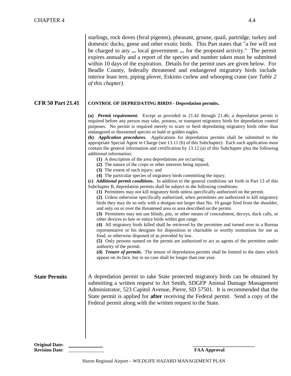|                                                | starlings, rock doves (feral pigeons), pheasant, grouse, quail, partridge, turkey and<br>domestic ducks, geese and other exotic birds. This Part states that "a fee will not<br>be charged to any  local government  for the proposed activity." The permit<br>expires annually and a report of the species and number taken must be submitted<br>within 10 days of the expiration. Details for the permit uses are given below. For<br>Beadle County, federally threatened and endangered migratory birds include<br>interior least tern, piping plover, Eskimo curlew and whooping crane (see Table 2)<br>of this chapter).                                                                                                                                                                                                                                                                                                                                                                                                                                                                                                                                                                                                                                                                                                                                                                                                                                                                                                                                                                                                                                                                                                                                                                                                                                                                                                                                                                                                                                                                                                                                                                                                                                      |
|------------------------------------------------|--------------------------------------------------------------------------------------------------------------------------------------------------------------------------------------------------------------------------------------------------------------------------------------------------------------------------------------------------------------------------------------------------------------------------------------------------------------------------------------------------------------------------------------------------------------------------------------------------------------------------------------------------------------------------------------------------------------------------------------------------------------------------------------------------------------------------------------------------------------------------------------------------------------------------------------------------------------------------------------------------------------------------------------------------------------------------------------------------------------------------------------------------------------------------------------------------------------------------------------------------------------------------------------------------------------------------------------------------------------------------------------------------------------------------------------------------------------------------------------------------------------------------------------------------------------------------------------------------------------------------------------------------------------------------------------------------------------------------------------------------------------------------------------------------------------------------------------------------------------------------------------------------------------------------------------------------------------------------------------------------------------------------------------------------------------------------------------------------------------------------------------------------------------------------------------------------------------------------------------------------------------------|
| <b>CFR 50 Part 21.41</b>                       | <b>CONTROL OF DEPREDATING BIRDS - Depredation permits.</b>                                                                                                                                                                                                                                                                                                                                                                                                                                                                                                                                                                                                                                                                                                                                                                                                                                                                                                                                                                                                                                                                                                                                                                                                                                                                                                                                                                                                                                                                                                                                                                                                                                                                                                                                                                                                                                                                                                                                                                                                                                                                                                                                                                                                         |
|                                                | (a) <i>Permit requirement</i> . Except as provided in 21.42 through 21.46, a depredation permit is<br>required before any person may take, possess, or transport migratory birds for depredation control<br>purposes. No permit is required merely to scare or herd depredating migratory birds other than<br>endangered or threatened species or bald or golden eagles.<br>(b) Application procedures. Applications for depredation permits shall be submitted to the<br>appropriate Special Agent in Charge (see 13.11 (b) of this Subchapter). Each such application must<br>contain the general information and certification by 13.12 (a) of this Subchapter plus the following<br>additional information:<br>(1) A description of the area depredations are occurring;<br>(2) The nature of the crops or other interests being injured;<br>(3) The extent of such injury; and<br>(4) The particular species of migratory birds committing the injury.<br>(c) <i>Additional permit conditions</i> . In addition to the general conditions set forth in Part 13 of this<br>Subchapter B, depredation permits shall be subject to the following conditions:<br>(1) Permittees may not kill migratory birds unless specifically authorized on the permit.<br>(2) Unless otherwise specifically authorized, when permittees are authorized to kill migratory<br>birds they may do so only with a shotgun not larger than No. 10 gauge fired from the shoulder,<br>and only on or over the threatened area or area described on the permit.<br>(3) Permittees may not use blinds, pits, or other means of concealment, decoys, duck calls, or<br>other devices to lure or entice birds within gun range.<br>(4) All migratory birds killed shall be retrieved by the permittee and turned over to a Bureau<br>representative or his designee for disposition to charitable or worthy institutions for use as<br>food, or otherwise disposed of as provided by law.<br>(5) Only persons named on the permit are authorized to act as agents of the permittee under<br>authority of the permit.<br>(d) Tenure of permits. The tenure of depredation permits shall be limited to the dates which<br>appear on its face, but in no case shall be longer than one year. |
| <b>State Permits</b>                           | A depredation permit to take State protected migratory birds can be obtained by<br>submitting a written request to Art Smith, SDGFP Animal Damage Management<br>Administrator, 523 Capitol Avenue, Pierre, SD 57501. It is recommended that the<br>State permit is applied for <b>after</b> receiving the Federal permit. Send a copy of the<br>Federal permit along with the written request to the State.                                                                                                                                                                                                                                                                                                                                                                                                                                                                                                                                                                                                                                                                                                                                                                                                                                                                                                                                                                                                                                                                                                                                                                                                                                                                                                                                                                                                                                                                                                                                                                                                                                                                                                                                                                                                                                                        |
| <b>Original Date:</b><br><b>Revision Date:</b> | <b>FAA Approval</b>                                                                                                                                                                                                                                                                                                                                                                                                                                                                                                                                                                                                                                                                                                                                                                                                                                                                                                                                                                                                                                                                                                                                                                                                                                                                                                                                                                                                                                                                                                                                                                                                                                                                                                                                                                                                                                                                                                                                                                                                                                                                                                                                                                                                                                                |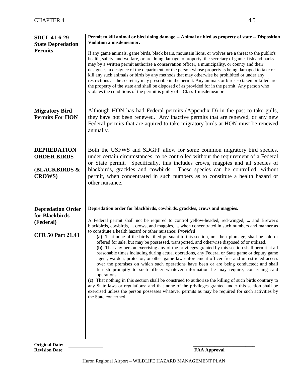| <b>SDCL 41-6-29</b><br><b>State Depredation</b> | Permit to kill animal or bird doing damage -- Animal or bird as property of state -- Disposition<br>Violation a misdemeanor.                                                                                                                                                                                                                                                                                                                                                                                                                                                                                                                                                                                                                                                                                                                                                                                                                                                                                                                                                                                   |
|-------------------------------------------------|----------------------------------------------------------------------------------------------------------------------------------------------------------------------------------------------------------------------------------------------------------------------------------------------------------------------------------------------------------------------------------------------------------------------------------------------------------------------------------------------------------------------------------------------------------------------------------------------------------------------------------------------------------------------------------------------------------------------------------------------------------------------------------------------------------------------------------------------------------------------------------------------------------------------------------------------------------------------------------------------------------------------------------------------------------------------------------------------------------------|
| <b>Permits</b>                                  | If any game animals, game birds, black bears, mountain lions, or wolves are a threat to the public's<br>health, safety, and welfare, or are doing damage to property, the secretary of game, fish and parks<br>may by a written permit authorize a conservation officer, a municipality, or county and their<br>designees, a designee of the department, or the person whose property is being damaged to take or<br>kill any such animals or birds by any methods that may otherwise be prohibited or under any<br>restrictions as the secretary may prescribe in the permit. Any animals or birds so taken or killed are<br>the property of the state and shall be disposed of as provided for in the permit. Any person who<br>violates the conditions of the permit is guilty of a Class 1 misdemeanor.                                                                                                                                                                                                                                                                                                    |
| <b>Migratory Bird</b><br><b>Permits For HON</b> | Although HON has had Federal permits (Appendix D) in the past to take gulls,<br>they have not been renewed. Any inactive permits that are renewed, or any new<br>Federal permits that are aquired to take migratory birds at HON must be renewed<br>annually.                                                                                                                                                                                                                                                                                                                                                                                                                                                                                                                                                                                                                                                                                                                                                                                                                                                  |
| <b>DEPREDATION</b><br><b>ORDER BIRDS</b>        | Both the USFWS and SDGFP allow for some common migratory bird species,<br>under certain circumstances, to be controlled without the requirement of a Federal                                                                                                                                                                                                                                                                                                                                                                                                                                                                                                                                                                                                                                                                                                                                                                                                                                                                                                                                                   |
| <b>(BLACKBIRDS &amp;</b><br><b>CROWS</b> )      | or State permit. Specifically, this includes crows, magpies and all species of<br>blackbirds, grackles and cowbirds. These species can be controlled, without<br>permit, when concentrated in such numbers as to constitute a health hazard or<br>other nuisance.                                                                                                                                                                                                                                                                                                                                                                                                                                                                                                                                                                                                                                                                                                                                                                                                                                              |
| <b>Depredation Order</b>                        | Depredation order for blackbirds, cowbirds, grackles, crows and magpies.                                                                                                                                                                                                                                                                                                                                                                                                                                                                                                                                                                                                                                                                                                                                                                                                                                                                                                                                                                                                                                       |
| for Blackbirds<br>(Federal)                     | A Federal permit shall not be required to control yellow-headed, red-winged,  and Brewer's<br>blackbirds, cowbirds,  crows, and magpies,  when concentrated in such numbers and manner as                                                                                                                                                                                                                                                                                                                                                                                                                                                                                                                                                                                                                                                                                                                                                                                                                                                                                                                      |
| <b>CFR 50 Part 21.43</b>                        | to constitute a health hazard or other nuisance: Provided<br>(a) That none of the birds killed pursuant to this section, nor their plumage, shall be sold or<br>offered for sale, but may be possessed, transported, and otherwise disposed of or utilized.<br>(b) That any person exercising any of the privileges granted by this section shall permit at all<br>reasonable times including during actual operations, any Federal or State game or deputy game<br>agent, warden, protector, or other game law enforcement officer free and unrestricted access<br>over the premises on which such operations have been or are being conducted; and shall<br>furnish promptly to such officer whatever information he may require, concerning said<br>operations.<br>(c) That nothing in this section shall be construed to authorize the killing of such birds contrary to<br>any State laws or regulations; and that none of the privileges granted under this section shall be<br>exercised unless the person possesses whatever permits as may be required for such activities by<br>the State concerned. |
| <b>Original Date:</b><br><b>Revision Date:</b>  | <b>FAA Approval</b>                                                                                                                                                                                                                                                                                                                                                                                                                                                                                                                                                                                                                                                                                                                                                                                                                                                                                                                                                                                                                                                                                            |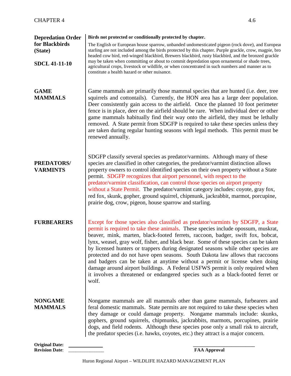| <b>Depredation Order</b>                       | Birds not protected or conditionally protected by chapter.                                                                                                                                                                                                                                                                                                                                                                                                                                                                                                                                                                                                                                                                                                                      |
|------------------------------------------------|---------------------------------------------------------------------------------------------------------------------------------------------------------------------------------------------------------------------------------------------------------------------------------------------------------------------------------------------------------------------------------------------------------------------------------------------------------------------------------------------------------------------------------------------------------------------------------------------------------------------------------------------------------------------------------------------------------------------------------------------------------------------------------|
| for Blackbirds<br>(State)                      | The English or European house sparrow, unbanded undomesticated pigeon (rock dove), and European<br>starling are not included among the birds protected by this chapter. Purple grackle, crow, magpie, bro<br>headed cow bird, red-winged blackbird, Brewers blackbird, rusty blackbird, and the bronzed grackle                                                                                                                                                                                                                                                                                                                                                                                                                                                                 |
| <b>SDCL 41-11-10</b>                           | may be taken when committing or about to commit depredation upon ornamental or shade trees,<br>agricultural crops, livestock or wildlife, or when concentrated in such numbers and manner as to<br>constitute a health hazard or other nuisance.                                                                                                                                                                                                                                                                                                                                                                                                                                                                                                                                |
| <b>GAME</b><br><b>MAMMALS</b>                  | Game mammals are primarily those mammal species that are hunted ( <i>i.e.</i> deer, tree<br>squirrels and cottontails). Currently, the HON area has a large deer population.<br>Deer consistently gain access to the airfield. Once the planned 10 foot perimeter<br>fence is in place, deer on the airfield should be rare. When individual deer or other<br>game mammals habitually find their way onto the airfield, they must be lethally<br>removed. A State permit from SDGFP is required to take these species unless they<br>are taken during regular hunting seasons with legal methods. This permit must be<br>renewed annually.                                                                                                                                      |
| <b>PREDATORS/</b><br><b>VARMINTS</b>           | SDGFP classify several species as predator/varmints. Although many of these<br>species are classified in other categories, the predator/varmint distinction allows<br>property owners to control identified species on their own property without a State<br>permit. SDGFP recognizes that airport personnel, with respect to the<br>predator/varmint classification, can control those species on airport property<br>without a State Permit. The predator/varmint category includes: coyote, gray fox,<br>red fox, skunk, gopher, ground squirrel, chipmunk, jackrabbit, marmot, porcupine,<br>prairie dog, crow, pigeon, house sparrow and starling.                                                                                                                         |
| <b>FURBEARERS</b>                              | Except for those species also classified as predator/varmints by SDGFP, a State<br>permit is required to take these animals. These species include opossum, muskrat,<br>beaver, mink, marten, black-footed ferrets, raccoon, badger, swift fox, bobcat,<br>lynx, weasel, gray wolf, fisher, and black bear. Some of these species can be taken<br>by licensed hunters or trappers during designated seasons while other species are<br>protected and do not have open seasons. South Dakota law allows that raccoons<br>and badgers can be taken at anytime without a permit or license when doing<br>damage around airport buildings. A Federal USFWS permit is only required when<br>it involves a threatened or endangered species such as a black-footed ferret or<br>wolf. |
| <b>NONGAME</b><br><b>MAMMALS</b>               | Nongame mammals are all mammals other than game mammals, furbearers and<br>feral domestic mammals. State permits are not required to take these species when<br>they damage or could damage property. Nongame mammals include: skunks,<br>gophers, ground squirrels, chipmunks, jackrabbits, marmots, porcupines, prairie<br>dogs, and field rodents. Although these species pose only a small risk to aircraft,<br>the predator species (i.e. hawks, coyotes, etc.) they attract is a major concern.                                                                                                                                                                                                                                                                           |
| <b>Original Date:</b><br><b>Revision Date:</b> | <b>FAA Approval</b>                                                                                                                                                                                                                                                                                                                                                                                                                                                                                                                                                                                                                                                                                                                                                             |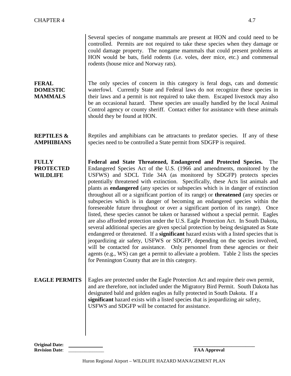|                                                     | Several species of nongame mammals are present at HON and could need to be<br>controlled. Permits are not required to take these species when they damage or<br>could damage property. The nongame mammals that could present problems at<br>HON would be bats, field rodents (i.e. voles, deer mice, etc.) and commensal<br>rodents (house mice and Norway rats).                                                                                                                                                                                                                                                                                                                                                                                                                                                                                                                                                                                                                                                                                                                                                                                                                                                                                                                                                                                 |
|-----------------------------------------------------|----------------------------------------------------------------------------------------------------------------------------------------------------------------------------------------------------------------------------------------------------------------------------------------------------------------------------------------------------------------------------------------------------------------------------------------------------------------------------------------------------------------------------------------------------------------------------------------------------------------------------------------------------------------------------------------------------------------------------------------------------------------------------------------------------------------------------------------------------------------------------------------------------------------------------------------------------------------------------------------------------------------------------------------------------------------------------------------------------------------------------------------------------------------------------------------------------------------------------------------------------------------------------------------------------------------------------------------------------|
| <b>FERAL</b><br><b>DOMESTIC</b><br><b>MAMMALS</b>   | The only species of concern in this category is feral dogs, cats and domestic<br>waterfowl. Currently State and Federal laws do not recognize these species in<br>their laws and a permit is not required to take them. Escaped livestock may also<br>be an occasional hazard. These species are usually handled by the local Animal<br>Control agency or county sheriff. Contact either for assistance with these animals<br>should they be found at HON.                                                                                                                                                                                                                                                                                                                                                                                                                                                                                                                                                                                                                                                                                                                                                                                                                                                                                         |
| <b>REPTILES &amp;</b><br><b>AMPHIBIANS</b>          | Reptiles and amphibians can be attractants to predator species. If any of these<br>species need to be controlled a State permit from SDGFP is required.                                                                                                                                                                                                                                                                                                                                                                                                                                                                                                                                                                                                                                                                                                                                                                                                                                                                                                                                                                                                                                                                                                                                                                                            |
| <b>FULLY</b><br><b>PROTECTED</b><br><b>WILDLIFE</b> | Federal and State Threatened, Endangered and Protected Species.<br>The<br>Endangered Species Act of the U.S. (1966 and amendments, monitored by the<br>USFWS) and SDCL Title 34A (as monitored by SDGFP) protects species<br>potentially threatened with extinction. Specifically, these Acts list animals and<br>plants as <b>endangered</b> (any species or subspecies which is in danger of extinction<br>throughout all or a significant portion of its range) or <b>threatened</b> (any species or<br>subspecies which is in danger of becoming an endangered species within the<br>foreseeable future throughout or over a significant portion of its range). Once<br>listed, these species cannot be taken or harassed without a special permit. Eagles<br>are also afforded protection under the U.S. Eagle Protection Act. In South Dakota,<br>several additional species are given special protection by being designated as State<br>endangered or threatened. If a significant hazard exists with a listed species that is<br>jeopardizing air safety, USFWS or SDGFP, depending on the species involved,<br>will be contacted for assistance. Only personnel from these agencies or their<br>agents (e.g., WS) can get a permit to alleviate a problem. Table 2 lists the species<br>for Pennington County that are in this category. |
| <b>EAGLE PERMITS</b>                                | Eagles are protected under the Eagle Protection Act and require their own permit,<br>and are therefore, not included under the Migratory Bird Permit. South Dakota has<br>designated bald and golden eagles as fully protected in South Dakota. If a<br>significant hazard exists with a listed species that is jeopardizing air safety,<br>USFWS and SDGFP will be contacted for assistance.                                                                                                                                                                                                                                                                                                                                                                                                                                                                                                                                                                                                                                                                                                                                                                                                                                                                                                                                                      |
| <b>Original Date:</b><br><b>Revision Date:</b>      | <b>FAA Approval</b>                                                                                                                                                                                                                                                                                                                                                                                                                                                                                                                                                                                                                                                                                                                                                                                                                                                                                                                                                                                                                                                                                                                                                                                                                                                                                                                                |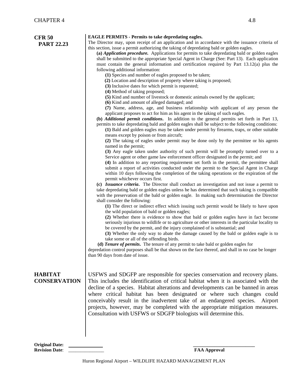| <b>CFR 50</b>       | <b>EAGLE PERMITS - Permits to take depredating eagles.</b>                                                                                                                                    |
|---------------------|-----------------------------------------------------------------------------------------------------------------------------------------------------------------------------------------------|
| <b>PART 22.23</b>   | The Director may, upon receipt of an application and in accordance with the issuance criteria of<br>this section, issue a permit authorizing the taking of depredating bald or golden eagles. |
|                     | (a) Application procedure. Applications for permits to take depredating bald or golden eagles                                                                                                 |
|                     | shall be submitted to the appropriate Special Agent in Charge (See: Part 13). Each application                                                                                                |
|                     | must contain the general information and certification required by Part 13.12(a) plus the                                                                                                     |
|                     | following additional information:                                                                                                                                                             |
|                     | (1) Species and number of eagles proposed to be taken;                                                                                                                                        |
|                     | (2) Location and description of property where taking is proposed;                                                                                                                            |
|                     | (3) Inclusive dates for which permit is requested;                                                                                                                                            |
|                     | (4) Method of taking proposed;                                                                                                                                                                |
|                     | (5) Kind and number of livestock or domestic animals owned by the applicant;                                                                                                                  |
|                     | (6) Kind and amount of alleged damaged; and                                                                                                                                                   |
|                     | (7) Name, address, age, and business relationship with applicant of any person the                                                                                                            |
|                     | applicant proposes to act for him as his agent in the taking of such eagles.                                                                                                                  |
|                     | (b) <i>Additional permit conditions</i> . In addition to the general permits set forth in Part 13,                                                                                            |
|                     | permits to take depredating bald and golden eagles shall be subject to the following conditions:                                                                                              |
|                     | (1) Bald and golden eagles may be taken under permit by firearms, traps, or other suitable                                                                                                    |
|                     | means except by poison or from aircraft;                                                                                                                                                      |
|                     | (2) The taking of eagles under permit may be done only by the permittee or his agents<br>named in the permit;                                                                                 |
|                     | (3) Any eagle taken under authority of such permit will be promptly turned over to a                                                                                                          |
|                     | Service agent or other game law enforcement officer designated in the permit; and                                                                                                             |
|                     | (4) In addition to any reporting requirement set forth in the permit, the permittee shall                                                                                                     |
|                     | submit a report of activities conducted under the permit to the Special Agent in Charge                                                                                                       |
|                     | within 10 days following the completion of the taking operations or the expiration of the                                                                                                     |
|                     | permit whichever occurs first.                                                                                                                                                                |
|                     | (c) <i>Issuance criteria</i> . The Director shall conduct an investigation and not issue a permit to                                                                                          |
|                     | take depredating bald or golden eagles unless he has determined that such taking is compatible                                                                                                |
|                     | with the preservation of the bald or golden eagle. In making such determination the Director<br>shall consider the following:                                                                 |
|                     | (1) The direct or indirect effect which issuing such permit would be likely to have upon                                                                                                      |
|                     | the wild population of bald or golden eagles;                                                                                                                                                 |
|                     | (2) Whether there is evidence to show that bald or golden eagles have in fact become                                                                                                          |
|                     | seriously injurious to wildlife or to agriculture or other interests in the particular locality to                                                                                            |
|                     | be covered by the permit, and the injury complained of is substantial; and                                                                                                                    |
|                     | (3) Whether the only way to abate the damage caused by the bald or golden eagle is to                                                                                                         |
|                     | take some or all of the offending birds.                                                                                                                                                      |
|                     | (d) Tenure of permits. The tenure of any permit to take bald or golden eagles for                                                                                                             |
|                     | depredation control purposes shall be that shown on the face thereof, and shall in no case be longer                                                                                          |
|                     | than 90 days from date of issue.                                                                                                                                                              |
|                     |                                                                                                                                                                                               |
| HABITAT             | USFWS and SDGFP are responsible for species conservation and recovery plans.                                                                                                                  |
|                     |                                                                                                                                                                                               |
| <b>CONSERVATION</b> | This includes the identification of critical habitat when it is associated with the                                                                                                           |
|                     | decline of a species. Habitat alterations and developments can be banned in areas                                                                                                             |
|                     | where critical habitat has been designated or where such changes could                                                                                                                        |
|                     | conceivably result in the inadvertent take of an endangered species.<br>Airport                                                                                                               |
|                     | projects, however, may be completed with the appropriate mitigation measures.                                                                                                                 |
|                     | Consultation with USFWS or SDGFP biologists will determine this.                                                                                                                              |
|                     |                                                                                                                                                                                               |
|                     |                                                                                                                                                                                               |
|                     |                                                                                                                                                                                               |
|                     |                                                                                                                                                                                               |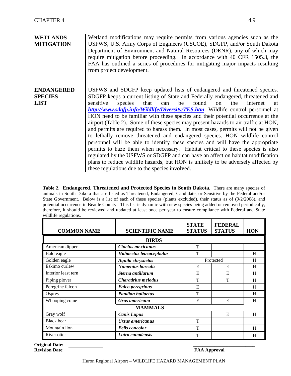| <b>WETLANDS</b><br><b>MITIGATION</b>               | Wetland modifications may require permits from various agencies such as the<br>USFWS, U.S. Army Corps of Engineers (USCOE), SDGFP, and/or South Dakota<br>Department of Environment and Natural Resources (DENR), any of which may<br>require mitigation before proceeding. In accordance with 40 CFR 1505.3, the<br>FAA has outlined a series of procedures for mitigating major impacts resulting<br>from project development.                                                                                                                                                                                                                                                                                                                                                                                                                                                                                                                                                                                                                                               |
|----------------------------------------------------|--------------------------------------------------------------------------------------------------------------------------------------------------------------------------------------------------------------------------------------------------------------------------------------------------------------------------------------------------------------------------------------------------------------------------------------------------------------------------------------------------------------------------------------------------------------------------------------------------------------------------------------------------------------------------------------------------------------------------------------------------------------------------------------------------------------------------------------------------------------------------------------------------------------------------------------------------------------------------------------------------------------------------------------------------------------------------------|
| <b>ENDANGERED</b><br><b>SPECIES</b><br><b>LIST</b> | USFWS and SDGFP keep updated lists of endangered and threatened species.<br>SDGFP keeps a current listing of State and Federally endangered, threatened and<br>found<br>sensitive<br>species<br>that<br>be<br>the<br>can<br>internet<br>on<br>at<br>http://www.sdgfp.info/Wildlife/Diversity/TES.htm. Wildlife control personnel at<br>HON need to be familiar with these species and their potential occurrence at the<br>airport (Table 2). Some of these species may present hazards to air traffic at HON,<br>and permits are required to harass them. In most cases, permits will not be given<br>to lethally remove threatened and endangered species. HON wildlife control<br>personnel will be able to identify these species and will have the appropriate<br>permits to haze them when necessary. Habitat critical to these species is also<br>regulated by the USFWS or SDGFP and can have an affect on habitat modification<br>plans to reduce wildlife hazards, but HON is unlikely to be adversely affected by<br>these regulations due to the species involved. |

**Table 2. Endangered, Threatened and Protected Species in South Dakota.** There are many species of animals in South Dakota that are listed as Threatened, Endangered, Candidate, or Sensitive by the Federal and/or State Government. Below is a list of each of these species (plants excluded), their status as of (9/2/2008), and potential occurrence in Beadle County. This list is dynamic with new species being added or removed periodically, therefore, it should be reviewed and updated at least once per year to ensure compliance with Federal and State wildlife regulations.

| <b>COMMON NAME</b>  | <b>SCIENTIFIC NAME</b>    | <b>STATE</b><br><b>STATUS</b> | <b>FEDERAL</b><br><b>STATUS</b> | <b>HON</b> |
|---------------------|---------------------------|-------------------------------|---------------------------------|------------|
|                     | <b>BIRDS</b>              |                               |                                 |            |
| American dipper     | Cinclus mexicanus         | T                             |                                 |            |
| Bald eagle          | Haliaeetus leucocephalus  | T                             |                                 | H          |
| Golden eagle        | <b>Aquila chrysaetos</b>  |                               | Protected                       | H          |
| Eskimo curlew       | <b>Numenius borealis</b>  | E                             | E                               | H          |
| Interior least tern | Sterna antillarum         | E                             | E                               | H          |
| Piping plover       | <b>Charadrius melodus</b> | T                             | T                               | H          |
| Peregrine falcon    | <b>Falco peregrinus</b>   | E                             |                                 | H          |
| Osprey              | <b>Pandion haliaetus</b>  | T                             |                                 | H          |
| Whooping crane      | Grus americana            | E                             | E                               | H          |
| <b>MAMMALS</b>      |                           |                               |                                 |            |
| Gray wolf           | <b>Canis Lupus</b>        |                               | E                               | H          |
| <b>Black</b> bear   | <b>Ursus americanus</b>   | T                             |                                 |            |
| Mountain lion       | <b>Felis</b> concolor     | T                             |                                 | H          |
| River otter         | Lutra canadensis          | T                             |                                 | H          |

**Original Date: Revision Date**: \_\_\_\_\_\_\_\_\_\_\_\_\_\_\_ **FAA Approval**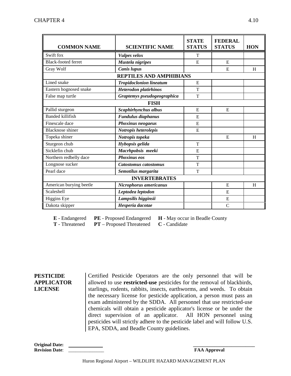| <b>COMMON NAME</b>      | <b>SCIENTIFIC NAME</b>         | <b>STATE</b><br><b>STATUS</b> | <b>FEDERAL</b><br><b>STATUS</b> | <b>HON</b> |
|-------------------------|--------------------------------|-------------------------------|---------------------------------|------------|
| Swift fox               | Vulpes velox                   | T                             |                                 |            |
| Black-footed ferret     | Mustela nigripes               | E                             | E                               |            |
| Gray Wolf               | <b>Canis</b> lupus             |                               | E                               | H          |
|                         | <b>REPTILES AND AMPHIBIANS</b> |                               |                                 |            |
| Lined snake             | <b>Tropidoclonion lineatum</b> | E                             |                                 |            |
| Eastern hognosed snake  | <b>Heterodon platirhinos</b>   | T                             |                                 |            |
| False map turtle        | Graptemys pseudogeographica    | T                             |                                 |            |
|                         | <b>FISH</b>                    |                               |                                 |            |
| Pallid sturgeon         | Scaphirhynchus albus           | E                             | E                               |            |
| <b>Banded killifish</b> | <b>Fundulus diaphanus</b>      | E                             |                                 |            |
| Finescale dace          | Phoxinus neogaeus              | E                             |                                 |            |
| <b>Blacknose</b> shiner | Notropis heterolepis           | E                             |                                 |            |
| Topeka shiner           | Notropis topeka                |                               | E                               | H          |
| Sturgeon chub           | $\overline{Hybops}$ is gelida  | T                             |                                 |            |
| Sicklefin chub          | Macrhpobsis meeki              | E                             |                                 |            |
| Northern redbelly dace  | <b>Phoxinus</b> eos            | T                             |                                 |            |
| Longnose sucker         | Catostomus catostomus          | T                             |                                 |            |
| Pearl dace              | Semotilus margarita            | T                             |                                 |            |
| <b>INVERTEBRATES</b>    |                                |                               |                                 |            |
| American burying beetle | Nicrophorus americanus         |                               | E                               | H          |
| Scaleshell              | Leptodea leptodon              |                               | E                               |            |
| Higgins Eye             | Lampsilis higginsii            |                               | E                               |            |
| Dakota skipper          | Hesperia dacotae               |                               | $\mathcal{C}$                   |            |

**E** - Endangered **PE** - Proposed Endangered **H** - May occur in Beadle County

**T** - Threatened **PT** – Proposed Threatened **C** - Candidate

### **PESTICIDE APPLICATOR LICENSE**

Certified Pesticide Operators are the only personnel that will be allowed to use **restricted-use** pesticides for the removal of blackbirds, starlings, rodents, rabbits, insects, earthworms, and weeds. To obtain the necessary license for pesticide application, a person must pass an exam administered by the SDDA. All personnel that use restricted-use chemicals will obtain a pesticide applicator's license or be under the direct supervision of an applicator. All HON personnel using pesticides will strictly adhere to the pesticide label and will follow U.S. EPA, SDDA, and Beadle County guidelines.

**Original Date: Revision Date**: \_\_\_\_\_\_\_\_\_\_\_\_\_\_\_ **FAA Approval**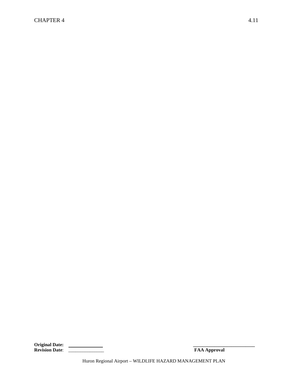### CHAPTER 4 4.11

 **Approval**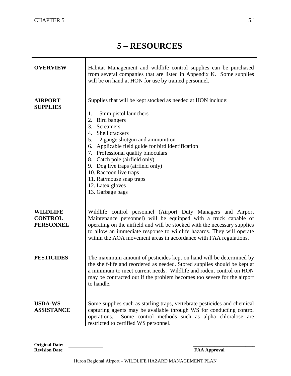Τ

### **5 – RESOURCES**

| <b>OVERVIEW</b>                                | Habitat Management and wildlife control supplies can be purchased<br>from several companies that are listed in Appendix K. Some supplies<br>will be on hand at HON for use by trained personnel.                                                                                                                                                                                                                                                         |
|------------------------------------------------|----------------------------------------------------------------------------------------------------------------------------------------------------------------------------------------------------------------------------------------------------------------------------------------------------------------------------------------------------------------------------------------------------------------------------------------------------------|
| <b>AIRPORT</b><br><b>SUPPLIES</b>              | Supplies that will be kept stocked as needed at HON include:<br>15mm pistol launchers<br>1.<br>2. Bird bangers<br>3. Screamers<br>4. Shell crackers<br>5. 12 gauge shotgun and ammunition<br>6. Applicable field guide for bird identification<br>7. Professional quality binoculars<br>8. Catch pole (airfield only)<br>9. Dog live traps (airfield only)<br>10. Raccoon live traps<br>11. Rat/mouse snap traps<br>12. Latex gloves<br>13. Garbage bags |
| WILDLIFE<br><b>CONTROL</b><br><b>PERSONNEL</b> | Wildlife control personnel (Airport Duty Managers and Airport<br>Maintenance personnel) will be equipped with a truck capable of<br>operating on the airfield and will be stocked with the necessary supplies<br>to allow an immediate response to wildlife hazards. They will operate<br>within the AOA movement areas in accordance with FAA regulations.                                                                                              |
| <b>PESTICIDES</b>                              | The maximum amount of pesticides kept on hand will be determined by<br>the shelf-life and reordered as needed. Stored supplies should be kept at<br>a minimum to meet current needs. Wildlife and rodent control on HON<br>may be contracted out if the problem becomes too severe for the airport<br>to handle.                                                                                                                                         |
| <b>USDA-WS</b><br><b>ASSISTANCE</b>            | Some supplies such as starling traps, vertebrate pesticides and chemical<br>capturing agents may be available through WS for conducting control<br>operations.<br>Some control methods such as alpha chloralose are<br>restricted to certified WS personnel.                                                                                                                                                                                             |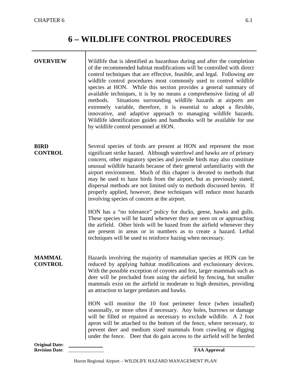### **OVERVIEW** Wildlife that is identified as hazardous during and after the completion of the recommended habitat modifications will be controlled with direct control techniques that are effective, feasible, and legal. Following are wildlife control procedures most commonly used to control wildlife species at HON. While this section provides a general summary of available techniques, it is by no means a comprehensive listing of all methods. Situations surrounding wildlife hazards at airports are extremely variable, therefore, it is essential to adopt a flexible, innovative, and adaptive approach to managing wildlife hazards. Wildlife identification guides and handbooks will be available for use by wildlife control personnel at HON. **BIRD CONTROL** Several species of birds are present at HON and represent the most significant strike hazard. Although waterfowl and hawks are of primary concern, other migratory species and juvenile birds may also constitute unusual wildlife hazards because of their general unfamiliarity with the airport environment. Much of this chapter is devoted to methods that may be used to haze birds from the airport, but as previously stated, dispersal methods are not limited only to methods discussed herein. If properly applied, however, these techniques will reduce most hazards involving species of concern at the airport. HON has a "no tolerance" policy for ducks, geese, hawks and gulls. These species will be hazed whenever they are seen on or approaching the airfield. Other birds will be hazed from the airfield whenever they are present in areas or in numbers as to create a hazard. Lethal techniques will be used to reinforce hazing when necessary. **MAMMAL CONTROL** Hazards involving the majority of mammalian species at HON can be reduced by applying habitat modifications and exclusionary devices. With the possible exception of coyotes and fox, larger mammals such as deer will be precluded from using the airfield by fencing, but smaller mammals exist on the airfield in moderate to high densities, providing an attraction to larger predators and hawks. HON will monitor the 10 foot perimeter fence (when installed) seasonally, or more often if necessary. Any holes, burrows or damage will be filled or repaired as necessary to exclude wildlife. A 2 foot apron will be attached to the bottom of the fence, where necessary, to prevent deer and medium sized mammals from crawling or digging under the fence. Deer that do gain access to the airfield will be herded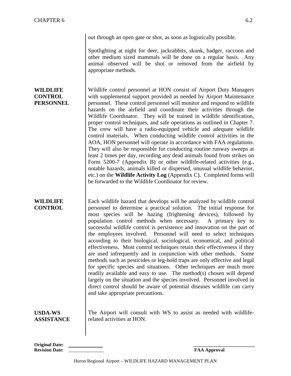out through an open gate or shot, as soon as logistically possible.

Spotlighting at night for deer, jackrabbits, skunk, badger, raccoon and other medium sized mammals will be done on a regular basis. Any animal observed will be shot or removed from the airfield by appropriate methods.

#### **WILDLIFE CONTROL PERSONNEL**

Wildlife control personnel at HON consist of Airport Duty Managers with supplemental support provided as needed by Airport Maintenance personnel. These control personnel will monitor and respond to wildlife hazards on the airfield and coordinate their activities through the Wildlife Coordinator. They will be trained in wildlife identification, proper control techniques, and safe operations as outlined in Chapter 7. The crew will have a radio-equipped vehicle and adequate wildlife control materials. When conducting wildlife control activities in the AOA, HON personnel will operate in accordance with FAA regulations. They will also be responsible for conducting routine runway sweeps at least 2 times per day, recording any dead animals found from strikes on Form 5200-7 (Appendix B) or other wildlife-related activities (e.g., notable hazards, animals killed or dispersed, unusual wildlife behavior, etc.) on the **Wildlife Activity Log** (Appendix C). Completed forms will be forwarded to the Wildlife Coordinator for review.

#### **WILDLIFE CONTROL**

Each wildlife hazard that develops will be analyzed by wildlife control personnel to determine a practical solution. The initial response for most species will be hazing (frightening devices), followed by population control methods when necessary. A primary key to successful wildlife control is persistence and innovation on the part of the employees involved. Personnel will need to select techniques according to their biological, sociological, economical, and political effectiveness. Most control techniques retain their effectiveness if they are used infrequently and in conjunction with other methods. Some methods such as pesticides or leg-hold traps are only effective and legal for specific species and situations. Other techniques are much more readily available and easy to use. The method(s) chosen will depend largely on the situation and the species involved. Personnel involved in direct control should be aware of potential diseases wildlife can carry and take appropriate precautions.

#### **USDA-WS ASSISTANCE**

The Airport will consult with WS to assist as needed with wildliferelated activities at HON.

| <b>Original Date:</b> |                     |
|-----------------------|---------------------|
| <b>Revision Date:</b> | <b>FAA Approval</b> |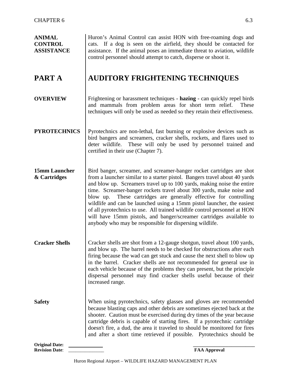| <b>ANIMAL</b><br><b>CONTROL</b><br><b>ASSISTANCE</b> | Huron's Animal Control can assist HON with free-roaming dogs and<br>cats. If a dog is seen on the airfield, they should be contacted for<br>assistance. If the animal poses an immediate threat to aviation, wildlife<br>control personnel should attempt to catch, disperse or shoot it.                                                                                                                                                                                                                                                                                                                                                                              |
|------------------------------------------------------|------------------------------------------------------------------------------------------------------------------------------------------------------------------------------------------------------------------------------------------------------------------------------------------------------------------------------------------------------------------------------------------------------------------------------------------------------------------------------------------------------------------------------------------------------------------------------------------------------------------------------------------------------------------------|
| PART A                                               | <b>AUDITORY FRIGHTENING TECHNIQUES</b>                                                                                                                                                                                                                                                                                                                                                                                                                                                                                                                                                                                                                                 |
| <b>OVERVIEW</b>                                      | Frightening or harassment techniques - hazing - can quickly repel birds<br>and mammals from problem areas for short term relief.<br>These<br>techniques will only be used as needed so they retain their effectiveness.                                                                                                                                                                                                                                                                                                                                                                                                                                                |
| <b>PYROTECHNICS</b>                                  | Pyrotechnics are non-lethal, fast burning or explosive devices such as<br>bird bangers and screamers, cracker shells, rockets, and flares used to<br>These will only be used by personnel trained and<br>deter wildlife.<br>certified in their use (Chapter 7).                                                                                                                                                                                                                                                                                                                                                                                                        |
| 15mm Launcher<br>& Cartridges                        | Bird banger, screamer, and screamer-banger rocket cartridges are shot<br>from a launcher similar to a starter pistol. Bangers travel about 40 yards<br>and blow up. Screamers travel up to 100 yards, making noise the entire<br>time. Screamer-banger rockets travel about 300 yards, make noise and<br>These cartridges are generally effective for controlling<br>blow up.<br>wildlife and can be launched using a 15mm pistol launcher, the easiest<br>of all pyrotechnics to use. All trained wildlife control personnel at HON<br>will have 15mm pistols, and banger/screamer cartridges available to<br>anybody who may be responsible for dispersing wildlife. |
| <b>Cracker Shells</b>                                | Cracker shells are shot from a 12-gauge shotgun, travel about 100 yards,<br>and blow up. The barrel needs to be checked for obstructions after each<br>firing because the wad can get stuck and cause the next shell to blow up<br>in the barrel. Cracker shells are not recommended for general use in<br>each vehicle because of the problems they can present, but the principle<br>dispersal personnel may find cracker shells useful because of their<br>increased range.                                                                                                                                                                                         |
| <b>Safety</b>                                        | When using pyrotechnics, safety glasses and gloves are recommended<br>because blasting caps and other debris are sometimes ejected back at the<br>shooter. Caution must be exercised during dry times of the year because<br>cartridge debris is capable of starting fires. If a pyrotechnic cartridge<br>doesn't fire, a dud, the area it traveled to should be monitored for fires<br>and after a short time retrieved if possible. Pyrotechnics should be                                                                                                                                                                                                           |
| <b>Original Date:</b><br><b>Revision Date:</b>       | <b>FAA Approval</b>                                                                                                                                                                                                                                                                                                                                                                                                                                                                                                                                                                                                                                                    |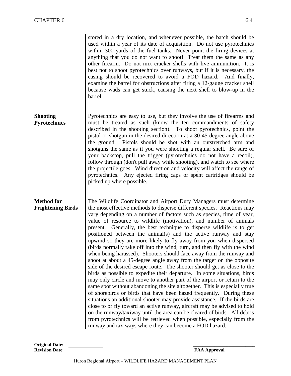|                                               | stored in a dry location, and whenever possible, the batch should be<br>used within a year of its date of acquisition. Do not use pyrotechnics<br>within 300 yards of the fuel tanks. Never point the firing devices at<br>anything that you do not want to shoot! Treat them the same as any<br>other firearm. Do not mix cracker shells with live ammunition. It is<br>best not to shoot pyrotechnics over runways, but if it is necessary, the<br>casing should be recovered to avoid a FOD hazard. And finally,<br>examine the barrel for obstructions after firing a 12-gauge cracker shell<br>because wads can get stuck, causing the next shell to blow-up in the<br>barrel.                                                                                                                                                                                                                                                                                                                                                                                                                                                                                                                                                                                                                                                                                                                                                                                                                        |
|-----------------------------------------------|------------------------------------------------------------------------------------------------------------------------------------------------------------------------------------------------------------------------------------------------------------------------------------------------------------------------------------------------------------------------------------------------------------------------------------------------------------------------------------------------------------------------------------------------------------------------------------------------------------------------------------------------------------------------------------------------------------------------------------------------------------------------------------------------------------------------------------------------------------------------------------------------------------------------------------------------------------------------------------------------------------------------------------------------------------------------------------------------------------------------------------------------------------------------------------------------------------------------------------------------------------------------------------------------------------------------------------------------------------------------------------------------------------------------------------------------------------------------------------------------------------|
| <b>Shooting</b><br><b>Pyrotechnics</b>        | Pyrotechnics are easy to use, but they involve the use of firearms and<br>must be treated as such (know the ten commandments of safety<br>described in the shooting section). To shoot pyrotechnics, point the<br>pistol or shotgun in the desired direction at a 30-45 degree angle above<br>the ground. Pistols should be shot with an outstretched arm and<br>shotguns the same as if you were shooting a regular shell. Be sure of<br>your backstop, pull the trigger (pyrotechnics do not have a recoil),<br>follow through (don't pull away while shooting), and watch to see where<br>the projectile goes. Wind direction and velocity will affect the range of<br>pyrotechnics. Any ejected firing caps or spent cartridges should be<br>picked up where possible.                                                                                                                                                                                                                                                                                                                                                                                                                                                                                                                                                                                                                                                                                                                                 |
| <b>Method for</b><br><b>Frightening Birds</b> | The Wildlife Coordinator and Airport Duty Managers must determine<br>the most effective methods to disperse different species. Reactions may<br>vary depending on a number of factors such as species, time of year,<br>value of resource to wildlife (motivation), and number of animals<br>present. Generally, the best technique to disperse wildlife is to get<br>positioned between the animal(s) and the active runway and stay<br>upwind so they are more likely to fly away from you when dispersed<br>(birds normally take off into the wind, turn, and then fly with the wind<br>when being harassed). Shooters should face away from the runway and<br>shoot at about a 45-degree angle away from the target on the opposite<br>side of the desired escape route. The shooter should get as close to the<br>birds as possible to expedite their departure. In some situations, birds<br>may only circle and move to another part of the airport or return to the<br>same spot without abandoning the site altogether. This is especially true<br>of shorebirds or birds that have been hazed frequently. During these<br>situations an additional shooter may provide assistance. If the birds are<br>close to or fly toward an active runway, aircraft may be advised to hold<br>on the runway/taxiway until the area can be cleared of birds. All debris<br>from pyrotechnics will be retrieved when possible, especially from the<br>runway and taxiways where they can become a FOD hazard. |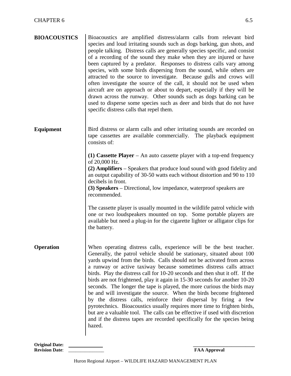| <b>BIOACOUSTICS</b> | Bioacoustics are amplified distress/alarm calls from relevant bird<br>species and loud irritating sounds such as dogs barking, gun shots, and<br>people talking. Distress calls are generally species specific, and consist<br>of a recording of the sound they make when they are injured or have<br>been captured by a predator. Responses to distress calls vary among<br>species, with some birds dispersing from the sound, while others are<br>attracted to the source to investigate. Because gulls and crows will<br>often investigate the source of the call, it should not be used when<br>aircraft are on approach or about to depart, especially if they will be<br>drawn across the runway. Other sounds such as dogs barking can be<br>used to disperse some species such as deer and birds that do not have<br>specific distress calls that repel them.                                                               |
|---------------------|--------------------------------------------------------------------------------------------------------------------------------------------------------------------------------------------------------------------------------------------------------------------------------------------------------------------------------------------------------------------------------------------------------------------------------------------------------------------------------------------------------------------------------------------------------------------------------------------------------------------------------------------------------------------------------------------------------------------------------------------------------------------------------------------------------------------------------------------------------------------------------------------------------------------------------------|
| <b>Equipment</b>    | Bird distress or alarm calls and other irritating sounds are recorded on<br>tape cassettes are available commercially. The playback equipment<br>consists of:<br>(1) Cassette Player – An auto cassette player with a top-end frequency<br>of 20,000 Hz.<br>(2) Amplifiers – Speakers that produce loud sound with good fidelity and<br>an output capability of 30-50 watts each without distortion and 90 to 110<br>decibels in front.<br>(3) Speakers – Directional, low impedance, waterproof speakers are<br>recommended.<br>The cassette player is usually mounted in the wildlife patrol vehicle with<br>one or two loudspeakers mounted on top. Some portable players are<br>available but need a plug-in for the cigarette lighter or alligator clips for<br>the battery.                                                                                                                                                    |
| <b>Operation</b>    | When operating distress calls, experience will be the best teacher.<br>Generally, the patrol vehicle should be stationary, situated about 100<br>yards upwind from the birds. Calls should not be activated from across<br>a runway or active taxiway because sometimes distress calls attract<br>birds. Play the distress call for 10-20 seconds and then shut it off. If the<br>birds are not frightened, play it again in 15-30 seconds for another 10-20<br>seconds. The longer the tape is played, the more curious the birds may<br>be and will investigate the source. When the birds become frightened<br>by the distress calls, reinforce their dispersal by firing a few<br>pyrotechnics. Bioacoustics usually requires more time to frighten birds,<br>but are a valuable tool. The calls can be effective if used with discretion<br>and if the distress tapes are recorded specifically for the species being<br>hazed. |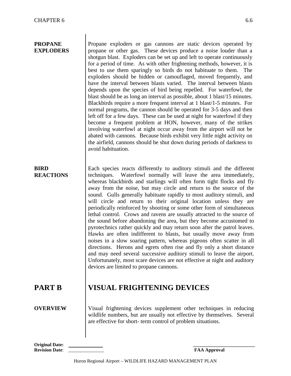#### **PROPANE EXPLODERS**

Propane exploders or gas cannons are static devices operated by propane or other gas. These devices produce a noise louder than a shotgun blast. Exploders can be set up and left to operate continuously for a period of time. As with other frightening methods, however, it is best to use them sparingly so birds do not habituate to them. The exploders should be hidden or camouflaged, moved frequently, and have the interval between blasts varied. The interval between blasts depends upon the species of bird being repelled. For waterfowl, the blast should be as long an interval as possible, about 1 blast/15 minutes. Blackbirds require a more frequent interval at 1 blast/1-5 minutes. For normal programs, the cannon should be operated for 3-5 days and then left off for a few days. These can be used at night for waterfowl if they become a frequent problem at HON, however, many of the strikes involving waterfowl at night occur away from the airport will not be abated with cannons. Because birds exhibit very little night activity on the airfield, cannons should be shut down during periods of darkness to avoid habituation.

#### **BIRD REACTIONS**

Each species reacts differently to auditory stimuli and the different techniques. Waterfowl normally will leave the area immediately, whereas blackbirds and starlings will often form tight flocks and fly away from the noise, but may circle and return to the source of the sound. Gulls generally habituate rapidly to most auditory stimuli, and will circle and return to their original location unless they are periodically reinforced by shooting or some other form of simultaneous lethal control. Crows and ravens are usually attracted to the source of the sound before abandoning the area, but they become accustomed to pyrotechnics rather quickly and may return soon after the patrol leaves. Hawks are often indifferent to blasts, but usually move away from noises in a slow soaring pattern, whereas pigeons often scatter in all directions. Herons and egrets often rise and fly only a short distance and may need several successive auditory stimuli to leave the airport. Unfortunately, most scare devices are not effective at night and auditory devices are limited to propane cannons.

### **PART B VISUAL FRIGHTENING DEVICES**

**OVERVIEW** Visual frightening devices supplement other techniques in reducing wildlife numbers, but are usually not effective by themselves. Several are effective for short- term control of problem situations.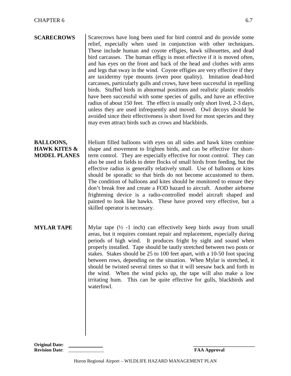| <b>SCARECROWS</b>                                                  | Scarecrows have long been used for bird control and do provide some<br>relief, especially when used in conjunction with other techniques.<br>These include human and coyote effigies, hawk silhouettes, and dead<br>bird carcasses. The human effigy is most effective if it is moved often,<br>and has eyes on the front and back of the head and clothes with arms<br>and legs that sway in the wind. Coyote effigies are very effective if they<br>are taxidermy type mounts (even poor quality). Imitation dead-bird<br>carcasses, particularly gulls and crows, have been successful in repelling<br>birds. Stuffed birds in abnormal positions and realistic plastic models<br>have been successful with some species of gulls, and have an effective<br>radius of about 150 feet. The effect is usually only short lived, 2-3 days,<br>unless they are used infrequently and moved. Owl decoys should be<br>avoided since their effectiveness is short lived for most species and they<br>may even attract birds such as crows and blackbirds. |
|--------------------------------------------------------------------|-------------------------------------------------------------------------------------------------------------------------------------------------------------------------------------------------------------------------------------------------------------------------------------------------------------------------------------------------------------------------------------------------------------------------------------------------------------------------------------------------------------------------------------------------------------------------------------------------------------------------------------------------------------------------------------------------------------------------------------------------------------------------------------------------------------------------------------------------------------------------------------------------------------------------------------------------------------------------------------------------------------------------------------------------------|
| <b>BALLOONS,</b><br><b>HAWK KITES &amp;</b><br><b>MODEL PLANES</b> | Helium filled balloons with eyes on all sides and hawk kites combine<br>shape and movement to frighten birds, and can be effective for short-<br>term control. They are especially effective for roost control. They can<br>also be used in fields to deter flocks of small birds from feeding, but the<br>effective radius is generally relatively small. Use of balloons or kites<br>should be sporadic so that birds do not become accustomed to them.<br>The condition of balloons and kites should be monitored to ensure they<br>don't break free and create a FOD hazard to aircraft. Another airborne<br>frightening device is a radio-controlled model aircraft shaped and<br>painted to look like hawks. These have proved very effective, but a<br>skilled operator is necessary.                                                                                                                                                                                                                                                          |
| <b>MYLAR TAPE</b>                                                  | Mylar tape $(\frac{1}{2} - 1)$ inch) can effectively keep birds away from small<br>areas, but it requires constant repair and replacement, especially during<br>periods of high wind. It produces fright by sight and sound when<br>properly installed. Tape should be tautly stretched between two posts or<br>stakes. Stakes should be 25 to 100 feet apart, with a 10-50 foot spacing<br>between rows, depending on the situation. When Mylar is stretched, it                                                                                                                                                                                                                                                                                                                                                                                                                                                                                                                                                                                     |

 $FAA$  Approval

waterfowl.

should be twisted several times so that it will seesaw back and forth in the wind. When the wind picks up, the tape will also make a low irritating hum. This can be quite effective for gulls, blackbirds and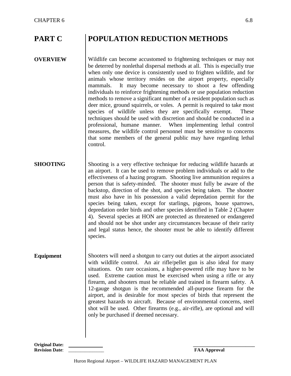### **PART C POPULATION REDUCTION METHODS**

**OVERVIEW** Wildlife can become accustomed to frightening techniques or may not be deterred by nonlethal dispersal methods at all. This is especially true when only one device is consistently used to frighten wildlife, and for animals whose territory resides on the airport property, especially mammals. It may become necessary to shoot a few offending individuals to reinforce frightening methods or use population reduction methods to remove a significant number of a resident population such as deer mice, ground squirrels, or voles. A permit is required to take most species of wildlife unless they are specifically exempt. These techniques should be used with discretion and should be conducted in a professional, humane manner. When implementing lethal control measures, the wildlife control personnel must be sensitive to concerns that some members of the general public may have regarding lethal control.

- **SHOOTING** Shooting is a very effective technique for reducing wildlife hazards at an airport. It can be used to remove problem individuals or add to the effectiveness of a hazing program. Shooting live ammunition requires a person that is safety-minded. The shooter must fully be aware of the backstop, direction of the shot, and species being taken. The shooter must also have in his possession a valid depredation permit for the species being taken, except for starlings, pigeons, house sparrows, depredation order birds and other species identified in Table 2 (Chapter 4). Several species at HON are protected as threatened or endangered and should not be shot under any circumstances because of their rarity and legal status hence, the shooter must be able to identify different species.
- **Equipment** Shooters will need a shotgun to carry out duties at the airport associated with wildlife control. An air rifle/pellet gun is also ideal for many situations. On rare occasions, a higher-powered rifle may have to be used. Extreme caution must be exercised when using a rifle or any firearm, and shooters must be reliable and trained in firearm safety. A 12-gauge shotgun is the recommended all-purpose firearm for the airport, and is desirable for most species of birds that represent the greatest hazards to aircraft. Because of environmental concerns, steel shot will be used. Other firearms (e.g., air-rifle), are optional and will only be purchased if deemed necessary.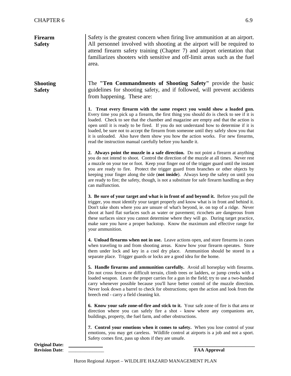| <b>Firearm</b><br><b>Safety</b>  | Safety is the greatest concern when firing live ammunition at an airport.<br>All personnel involved with shooting at the airport will be required to<br>attend firearm safety training (Chapter 7) and airport orientation that<br>familiarizes shooters with sensitive and off-limit areas such as the fuel<br>area.                                                                                                                                                                                                                                                                              |
|----------------------------------|----------------------------------------------------------------------------------------------------------------------------------------------------------------------------------------------------------------------------------------------------------------------------------------------------------------------------------------------------------------------------------------------------------------------------------------------------------------------------------------------------------------------------------------------------------------------------------------------------|
| <b>Shooting</b><br><b>Safety</b> | The "Ten Commandments of Shooting Safety" provide the basic<br>guidelines for shooting safety, and if followed, will prevent accidents<br>from happening. These are:                                                                                                                                                                                                                                                                                                                                                                                                                               |
|                                  | 1. Treat every firearm with the same respect you would show a loaded gun.<br>Every time you pick up a firearm, the first thing you should do is check to see if it is<br>loaded. Check to see that the chamber and magazine are empty and that the action is<br>open until it is ready to be fired. If you do not understand how to determine if it is<br>loaded, be sure not to accept the firearm from someone until they safely show you that<br>it is unloaded. Also have them show you how the action works. For new firearms,<br>read the instruction manual carefully before you handle it. |
|                                  | 2. Always point the muzzle in a safe direction. Do not point a firearm at anything<br>you do not intend to shoot. Control the direction of the muzzle at all times. Never rest<br>a muzzle on your toe or foot. Keep your finger out of the trigger guard until the instant<br>you are ready to fire. Protect the trigger guard from branches or other objects by<br>keeping your finger along the side (not inside). Always keep the safety on until you<br>are ready to fire; the safety, though, is not a substitute for safe firearm handling as they<br>can malfunction.                      |
|                                  | 3. Be sure of your target and what is in front of and beyond it. Before you pull the<br>trigger, you must identify your target properly and know what is in front and behind it.<br>Don't take shots where you are unsure of what's beyond, ie. on top of a ridge. Never<br>shoot at hard flat surfaces such as water or pavement; ricochets are dangerous from<br>these surfaces since you cannot determine where they will go. During target practice,<br>make sure you have a proper backstop. Know the maximum and effective range for<br>your ammunition.                                     |
|                                  | 4. Unload firearms when not in use. Leave actions open, and store firearms in cases<br>when traveling to and from shooting areas. Know how your firearm operates. Store<br>them under lock and key in a cool dry place. Ammunition should be stored in a<br>separate place. Trigger guards or locks are a good idea for the home.                                                                                                                                                                                                                                                                  |
|                                  | 5. Handle firearms and ammunition carefully. Avoid all horseplay with firearms.<br>Do not cross fences or difficult terrain, climb trees or ladders, or jump creeks with a<br>loaded weapon. Learn the proper carries for a gun in the field; try to use a two-handed<br>carry whenever possible because you'll have better control of the muzzle direction.<br>Never look down a barrel to check for obstructions; open the action and look from the<br>breech end - carry a field cleaning kit.                                                                                                  |
|                                  | <b>6. Know your safe zone-of-fire and stick to it.</b> Your safe zone of fire is that area or<br>direction where you can safely fire a shot - know where any companions are,<br>buildings, property, the fuel farm, and other obstructions.                                                                                                                                                                                                                                                                                                                                                        |
|                                  | 7. Control your emotions when it comes to safety. When you lose control of your<br>emotions, you may get careless. Wildlife control at airports is a job and not a sport.<br>Safety comes first, pass up shots if they are unsafe.                                                                                                                                                                                                                                                                                                                                                                 |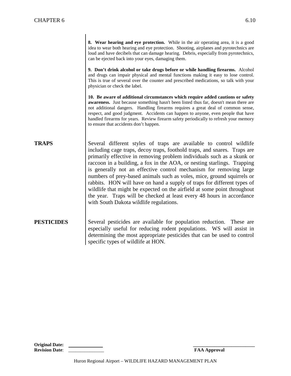**8. Wear hearing and eye protection.** While in the air operating area, it is a good idea to wear both hearing and eye protection. Shooting, airplanes and pyrotechnics are loud and have decibels that can damage hearing. Debris, especially from pyrotechnics, can be ejected back into your eyes, damaging them.

**9. Don't drink alcohol or take drugs before or while handling firearms.** Alcohol and drugs can impair physical and mental functions making it easy to lose control. This is true of several over the counter and prescribed medications, so talk with your physician or check the label.

**10. Be aware of additional circumstances which require added cautions or safety awareness.** Just because something hasn't been listed thus far, doesn't mean there are not additional dangers. Handling firearms requires a great deal of common sense, respect, and good judgment. Accidents can happen to anyone, even people that have handled firearms for years. Review firearm safety periodically to refresh your memory to ensure that accidents don't happen.

**TRAPS** Several different styles of traps are available to control wildlife including cage traps, decoy traps, foothold traps, and snares. Traps are primarily effective in removing problem individuals such as a skunk or raccoon in a building, a fox in the AOA, or nesting starlings. Trapping is generally not an effective control mechanism for removing large numbers of prey-based animals such as voles, mice, ground squirrels or rabbits. HON will have on hand a supply of traps for different types of wildlife that might be expected on the airfield at some point throughout the year. Traps will be checked at least every 48 hours in accordance with South Dakota wildlife regulations.

### **PESTICIDES** Several pesticides are available for population reduction. These are especially useful for reducing rodent populations. WS will assist in determining the most appropriate pesticides that can be used to control specific types of wildlife at HON.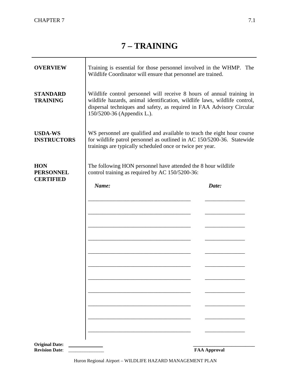### **7 – TRAINING**

| <b>OVERVIEW</b>                                    | Training is essential for those personnel involved in the WHMP. The<br>Wildlife Coordinator will ensure that personnel are trained.                                                                                                                       |                     |  |
|----------------------------------------------------|-----------------------------------------------------------------------------------------------------------------------------------------------------------------------------------------------------------------------------------------------------------|---------------------|--|
| <b>STANDARD</b><br><b>TRAINING</b>                 | Wildlife control personnel will receive 8 hours of annual training in<br>wildlife hazards, animal identification, wildlife laws, wildlife control,<br>dispersal techniques and safety, as required in FAA Advisory Circular<br>150/5200-36 (Appendix L.). |                     |  |
| <b>USDA-WS</b><br><b>INSTRUCTORS</b>               | WS personnel are qualified and available to teach the eight hour course<br>for wildlife patrol personnel as outlined in AC 150/5200-36. Statewide<br>trainings are typically scheduled once or twice per year.                                            |                     |  |
| <b>HON</b><br><b>PERSONNEL</b><br><b>CERTIFIED</b> | The following HON personnel have attended the 8 hour wildlife<br>control training as required by AC 150/5200-36:                                                                                                                                          |                     |  |
|                                                    | Name:                                                                                                                                                                                                                                                     | Date:               |  |
|                                                    |                                                                                                                                                                                                                                                           |                     |  |
|                                                    |                                                                                                                                                                                                                                                           |                     |  |
|                                                    |                                                                                                                                                                                                                                                           |                     |  |
|                                                    |                                                                                                                                                                                                                                                           |                     |  |
|                                                    |                                                                                                                                                                                                                                                           |                     |  |
|                                                    |                                                                                                                                                                                                                                                           |                     |  |
| <b>Original Date:</b><br><b>Revision Date:</b>     |                                                                                                                                                                                                                                                           | <b>FAA Approval</b> |  |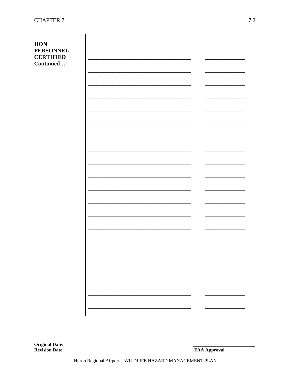| HON                           |                          |    |
|-------------------------------|--------------------------|----|
| PERSONNEL<br><b>CERTIFIED</b> |                          |    |
| Continued                     |                          |    |
|                               |                          |    |
|                               |                          |    |
|                               |                          |    |
|                               |                          |    |
|                               |                          |    |
|                               |                          |    |
|                               |                          |    |
|                               |                          |    |
|                               |                          |    |
|                               |                          |    |
|                               |                          |    |
|                               |                          |    |
|                               |                          |    |
|                               |                          |    |
|                               |                          |    |
|                               |                          |    |
|                               |                          |    |
|                               |                          |    |
|                               |                          |    |
|                               |                          |    |
|                               |                          |    |
|                               |                          |    |
|                               |                          |    |
|                               |                          |    |
|                               | $\overline{\phantom{a}}$ | ÷. |
|                               |                          |    |
|                               |                          |    |
|                               | Ξ.                       |    |
|                               |                          |    |
|                               |                          |    |

Original Date: \_ \_<br>Revision Date: \_ \_

**FAA Approval**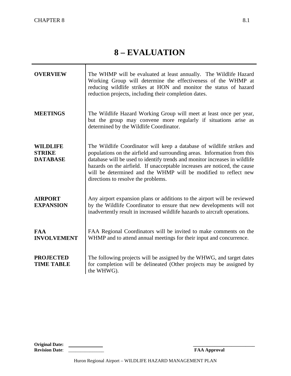### **8 – EVALUATION**

| <b>OVERVIEW</b>                              | The WHMP will be evaluated at least annually. The Wildlife Hazard<br>Working Group will determine the effectiveness of the WHMP at<br>reducing wildlife strikes at HON and monitor the status of hazard<br>reduction projects, including their completion dates.                                                                                                                                                       |
|----------------------------------------------|------------------------------------------------------------------------------------------------------------------------------------------------------------------------------------------------------------------------------------------------------------------------------------------------------------------------------------------------------------------------------------------------------------------------|
| <b>MEETINGS</b>                              | The Wildlife Hazard Working Group will meet at least once per year,<br>but the group may convene more regularly if situations arise as<br>determined by the Wildlife Coordinator.                                                                                                                                                                                                                                      |
| WILDLIFE<br><b>STRIKE</b><br><b>DATABASE</b> | The Wildlife Coordinator will keep a database of wildlife strikes and<br>populations on the airfield and surrounding areas. Information from this<br>database will be used to identify trends and monitor increases in wildlife<br>hazards on the airfield. If unacceptable increases are noticed, the cause<br>will be determined and the WHMP will be modified to reflect new<br>directions to resolve the problems. |
| <b>AIRPORT</b><br><b>EXPANSION</b>           | Any airport expansion plans or additions to the airport will be reviewed<br>by the Wildlife Coordinator to ensure that new developments will not<br>inadvertently result in increased wildlife hazards to aircraft operations.                                                                                                                                                                                         |
| <b>FAA</b><br><b>INVOLVEMENT</b>             | FAA Regional Coordinators will be invited to make comments on the<br>WHMP and to attend annual meetings for their input and concurrence.                                                                                                                                                                                                                                                                               |
| <b>PROJECTED</b><br><b>TIME TABLE</b>        | The following projects will be assigned by the WHWG, and target dates<br>for completion will be delineated (Other projects may be assigned by<br>the WHWG).                                                                                                                                                                                                                                                            |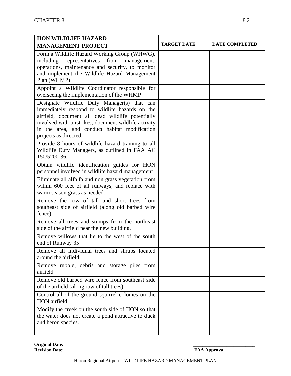| <b>TARGET DATE</b> | <b>DATE COMPLETED</b> |
|--------------------|-----------------------|
|                    |                       |
|                    |                       |
|                    |                       |
|                    |                       |
|                    |                       |
|                    |                       |
|                    |                       |
|                    |                       |
|                    |                       |
|                    |                       |
|                    |                       |
|                    |                       |
|                    |                       |
|                    |                       |
|                    |                       |

**Original Date:<br>Revision Date:** 

**RAA Approval** 

Huron Regional Airport – WILDLIFE HAZARD MANAGEMENT PLAN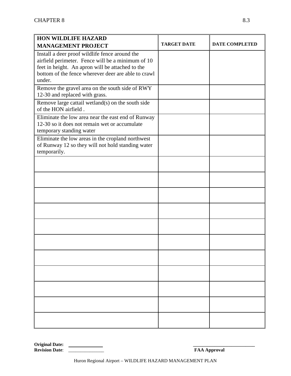| <b>HON WILDLIFE HAZARD</b>                                                                                                                                                                                               |                    |                       |
|--------------------------------------------------------------------------------------------------------------------------------------------------------------------------------------------------------------------------|--------------------|-----------------------|
| <b>MANAGEMENT PROJECT</b>                                                                                                                                                                                                | <b>TARGET DATE</b> | <b>DATE COMPLETED</b> |
| Install a deer proof wildlife fence around the<br>airfield perimeter. Fence will be a minimum of 10<br>feet in height. An apron will be attached to the<br>bottom of the fence wherever deer are able to crawl<br>under. |                    |                       |
| Remove the gravel area on the south side of RWY<br>12-30 and replaced with grass.                                                                                                                                        |                    |                       |
| Remove large cattail wetland(s) on the south side<br>of the HON airfield.                                                                                                                                                |                    |                       |
| Eliminate the low area near the east end of Runway<br>12-30 so it does not remain wet or accumulate<br>temporary standing water                                                                                          |                    |                       |
| Eliminate the low areas in the cropland northwest<br>of Runway 12 so they will not hold standing water<br>temporarily.                                                                                                   |                    |                       |
|                                                                                                                                                                                                                          |                    |                       |
|                                                                                                                                                                                                                          |                    |                       |
|                                                                                                                                                                                                                          |                    |                       |
|                                                                                                                                                                                                                          |                    |                       |
|                                                                                                                                                                                                                          |                    |                       |
|                                                                                                                                                                                                                          |                    |                       |
|                                                                                                                                                                                                                          |                    |                       |
|                                                                                                                                                                                                                          |                    |                       |
|                                                                                                                                                                                                                          |                    |                       |
|                                                                                                                                                                                                                          |                    |                       |
|                                                                                                                                                                                                                          |                    |                       |

**Original Date:**<br>**Revision Date**:

**Revision Date**: \_\_\_\_\_\_\_\_\_\_\_\_\_\_\_ **FAA Approval**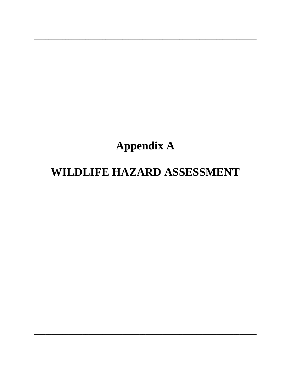## **Appendix A**

## WILDLIFE HAZARD ASSESSMENT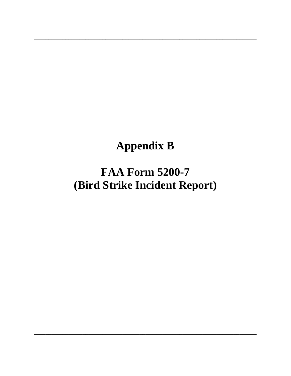## **Appendix B**

**FAA Form 5200-7** (Bird Strike Incident Report)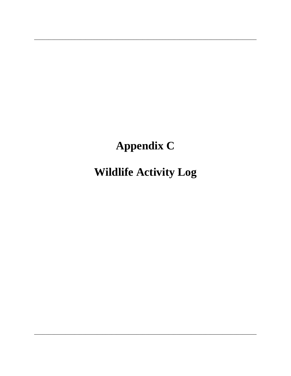## **Appendix C**

**Wildlife Activity Log**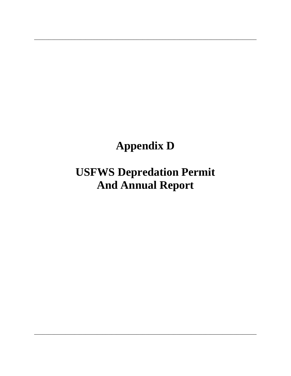## **Appendix D**

**USFWS Depredation Permit And Annual Report**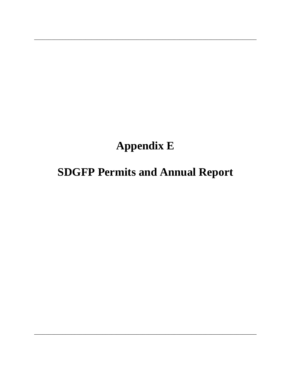## **Appendix E**

## **SDGFP Permits and Annual Report**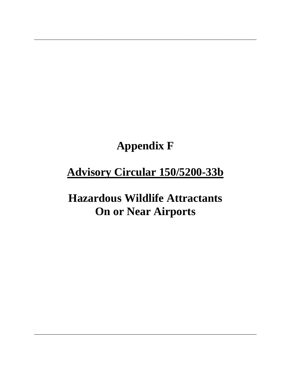## **Appendix F**

\_\_\_\_\_\_\_\_\_\_\_\_\_\_\_\_\_\_\_\_\_\_\_\_\_\_\_\_\_\_\_\_\_\_\_\_\_\_\_\_\_\_\_\_\_\_\_\_\_\_\_\_\_\_\_\_\_\_\_\_\_\_\_\_\_\_\_\_\_\_\_\_\_\_\_\_\_\_

## **Advisory Circular 150/5200-33b**

## **Hazardous Wildlife Attractants On or Near Airports**

\_\_\_\_\_\_\_\_\_\_\_\_\_\_\_\_\_\_\_\_\_\_\_\_\_\_\_\_\_\_\_\_\_\_\_\_\_\_\_\_\_\_\_\_\_\_\_\_\_\_\_\_\_\_\_\_\_\_\_\_\_\_\_\_\_\_\_\_\_\_\_\_\_\_\_\_\_\_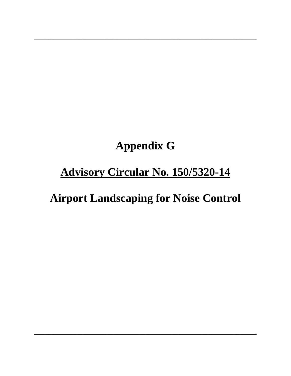## **Appendix G**

\_\_\_\_\_\_\_\_\_\_\_\_\_\_\_\_\_\_\_\_\_\_\_\_\_\_\_\_\_\_\_\_\_\_\_\_\_\_\_\_\_\_\_\_\_\_\_\_\_\_\_\_\_\_\_\_\_\_\_\_\_\_\_\_\_\_\_\_\_\_\_\_\_\_\_\_\_\_

## **Advisory Circular No. 150/5320-14**

## **Airport Landscaping for Noise Control**

\_\_\_\_\_\_\_\_\_\_\_\_\_\_\_\_\_\_\_\_\_\_\_\_\_\_\_\_\_\_\_\_\_\_\_\_\_\_\_\_\_\_\_\_\_\_\_\_\_\_\_\_\_\_\_\_\_\_\_\_\_\_\_\_\_\_\_\_\_\_\_\_\_\_\_\_\_\_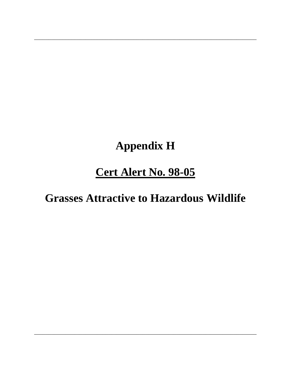## **Appendix H**

## Cert Alert No. 98-05

## **Grasses Attractive to Hazardous Wildlife**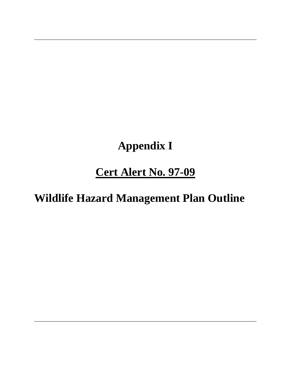## **Appendix I**

## Cert Alert No. 97-09

## Wildlife Hazard Management Plan Outline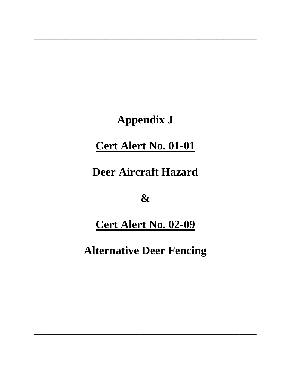**Appendix J**

\_\_\_\_\_\_\_\_\_\_\_\_\_\_\_\_\_\_\_\_\_\_\_\_\_\_\_\_\_\_\_\_\_\_\_\_\_\_\_\_\_\_\_\_\_\_\_\_\_\_\_\_\_\_\_\_\_\_\_\_\_\_\_\_\_\_\_\_\_\_\_\_\_\_\_\_\_\_

**Cert Alert No. 01-01**

## **Deer Aircraft Hazard**

**&**

**Cert Alert No. 02-09**

**Alternative Deer Fencing**

\_\_\_\_\_\_\_\_\_\_\_\_\_\_\_\_\_\_\_\_\_\_\_\_\_\_\_\_\_\_\_\_\_\_\_\_\_\_\_\_\_\_\_\_\_\_\_\_\_\_\_\_\_\_\_\_\_\_\_\_\_\_\_\_\_\_\_\_\_\_\_\_\_\_\_\_\_\_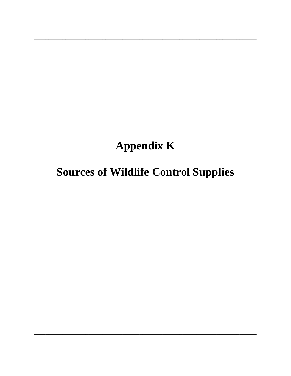## **Appendix K**

## **Sources of Wildlife Control Supplies**